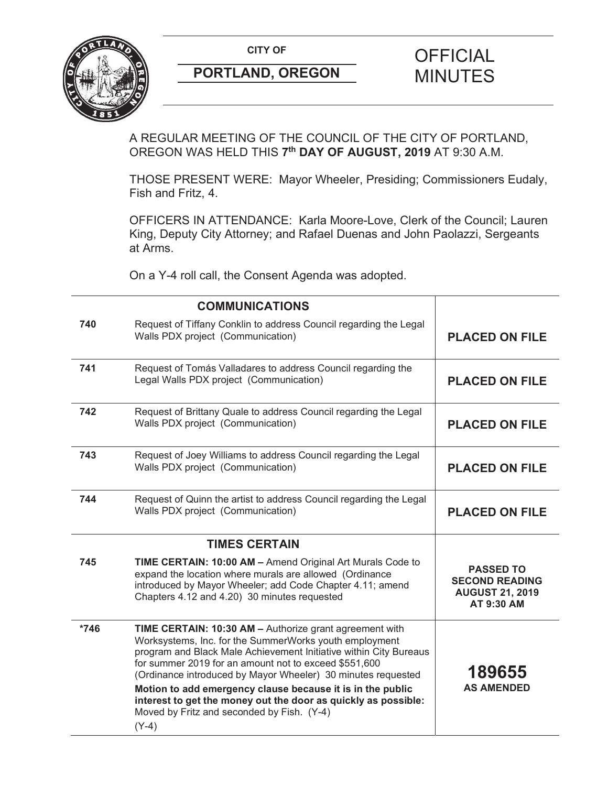

## **PORTLAND, OREGON MINUTES**

# **CITY OF CITY OF CITY OF CITY OF CITY**

A REGULAR MEETING OF THE COUNCIL OF THE CITY OF PORTLAND, OREGON WAS HELD THIS **7th DAY OF AUGUST, 2019** AT 9:30 A.M.

THOSE PRESENT WERE: Mayor Wheeler, Presiding; Commissioners Eudaly, Fish and Fritz, 4.

OFFICERS IN ATTENDANCE: Karla Moore-Love, Clerk of the Council; Lauren King, Deputy City Attorney; and Rafael Duenas and John Paolazzi, Sergeants at Arms.

On a Y-4 roll call, the Consent Agenda was adopted.

|        | <b>COMMUNICATIONS</b>                                                                                                                                                                                                                                                                                                                                                                                                                                                                                    |                                                                                   |
|--------|----------------------------------------------------------------------------------------------------------------------------------------------------------------------------------------------------------------------------------------------------------------------------------------------------------------------------------------------------------------------------------------------------------------------------------------------------------------------------------------------------------|-----------------------------------------------------------------------------------|
| 740    | Request of Tiffany Conklin to address Council regarding the Legal<br>Walls PDX project (Communication)                                                                                                                                                                                                                                                                                                                                                                                                   | <b>PLACED ON FILE</b>                                                             |
| 741    | Request of Tomás Valladares to address Council regarding the<br>Legal Walls PDX project (Communication)                                                                                                                                                                                                                                                                                                                                                                                                  | <b>PLACED ON FILE</b>                                                             |
| 742    | Request of Brittany Quale to address Council regarding the Legal<br>Walls PDX project (Communication)                                                                                                                                                                                                                                                                                                                                                                                                    | <b>PLACED ON FILE</b>                                                             |
| 743    | Request of Joey Williams to address Council regarding the Legal<br>Walls PDX project (Communication)                                                                                                                                                                                                                                                                                                                                                                                                     | <b>PLACED ON FILE</b>                                                             |
| 744    | Request of Quinn the artist to address Council regarding the Legal<br>Walls PDX project (Communication)                                                                                                                                                                                                                                                                                                                                                                                                  | <b>PLACED ON FILE</b>                                                             |
|        | <b>TIMES CERTAIN</b>                                                                                                                                                                                                                                                                                                                                                                                                                                                                                     |                                                                                   |
| 745    | TIME CERTAIN: 10:00 AM - Amend Original Art Murals Code to<br>expand the location where murals are allowed (Ordinance<br>introduced by Mayor Wheeler; add Code Chapter 4.11; amend<br>Chapters 4.12 and 4.20) 30 minutes requested                                                                                                                                                                                                                                                                       | <b>PASSED TO</b><br><b>SECOND READING</b><br><b>AUGUST 21, 2019</b><br>AT 9:30 AM |
| $*746$ | TIME CERTAIN: 10:30 AM - Authorize grant agreement with<br>Worksystems, Inc. for the SummerWorks youth employment<br>program and Black Male Achievement Initiative within City Bureaus<br>for summer 2019 for an amount not to exceed \$551,600<br>(Ordinance introduced by Mayor Wheeler) 30 minutes requested<br>Motion to add emergency clause because it is in the public<br>interest to get the money out the door as quickly as possible:<br>Moved by Fritz and seconded by Fish. (Y-4)<br>$(Y-4)$ | 189655<br><b>AS AMENDED</b>                                                       |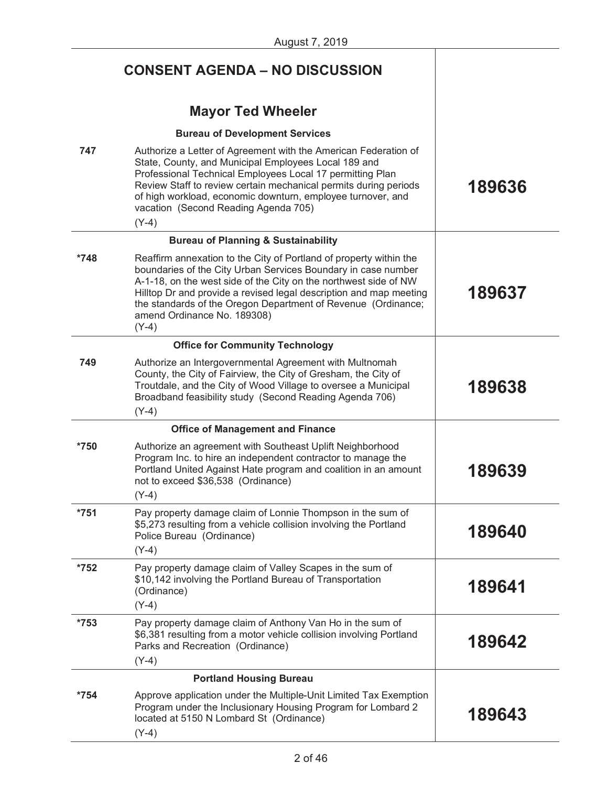|        | <b>CONSENT AGENDA - NO DISCUSSION</b>                                                                                                                                                                                                                                                                                                                                                    |        |
|--------|------------------------------------------------------------------------------------------------------------------------------------------------------------------------------------------------------------------------------------------------------------------------------------------------------------------------------------------------------------------------------------------|--------|
|        | <b>Mayor Ted Wheeler</b>                                                                                                                                                                                                                                                                                                                                                                 |        |
|        | <b>Bureau of Development Services</b>                                                                                                                                                                                                                                                                                                                                                    |        |
| 747    | Authorize a Letter of Agreement with the American Federation of<br>State, County, and Municipal Employees Local 189 and<br>Professional Technical Employees Local 17 permitting Plan<br>Review Staff to review certain mechanical permits during periods<br>of high workload, economic downturn, employee turnover, and<br>vacation (Second Reading Agenda 705)<br>$(Y-4)$               | 189636 |
|        | <b>Bureau of Planning &amp; Sustainability</b>                                                                                                                                                                                                                                                                                                                                           |        |
| *748   | Reaffirm annexation to the City of Portland of property within the<br>boundaries of the City Urban Services Boundary in case number<br>A-1-18, on the west side of the City on the northwest side of NW<br>Hilltop Dr and provide a revised legal description and map meeting<br>the standards of the Oregon Department of Revenue (Ordinance;<br>amend Ordinance No. 189308)<br>$(Y-4)$ | 189637 |
|        | <b>Office for Community Technology</b>                                                                                                                                                                                                                                                                                                                                                   |        |
| 749    | Authorize an Intergovernmental Agreement with Multnomah<br>County, the City of Fairview, the City of Gresham, the City of<br>Troutdale, and the City of Wood Village to oversee a Municipal<br>Broadband feasibility study (Second Reading Agenda 706)<br>$(Y-4)$                                                                                                                        | 189638 |
|        | <b>Office of Management and Finance</b>                                                                                                                                                                                                                                                                                                                                                  |        |
| $*750$ | Authorize an agreement with Southeast Uplift Neighborhood<br>Program Inc. to hire an independent contractor to manage the<br>Portland United Against Hate program and coalition in an amount<br>not to exceed \$36,538 (Ordinance)<br>$(Y-4)$                                                                                                                                            | 189639 |
| $*751$ | Pay property damage claim of Lonnie Thompson in the sum of<br>\$5,273 resulting from a vehicle collision involving the Portland<br>Police Bureau (Ordinance)                                                                                                                                                                                                                             | 189640 |
|        | $(Y-4)$                                                                                                                                                                                                                                                                                                                                                                                  |        |
| $*752$ | Pay property damage claim of Valley Scapes in the sum of<br>\$10,142 involving the Portland Bureau of Transportation<br>(Ordinance)<br>$(Y-4)$                                                                                                                                                                                                                                           | 189641 |
| $*753$ | Pay property damage claim of Anthony Van Ho in the sum of<br>\$6,381 resulting from a motor vehicle collision involving Portland<br>Parks and Recreation (Ordinance)<br>$(Y-4)$                                                                                                                                                                                                          | 189642 |
|        | <b>Portland Housing Bureau</b>                                                                                                                                                                                                                                                                                                                                                           |        |
| *754   | Approve application under the Multiple-Unit Limited Tax Exemption<br>Program under the Inclusionary Housing Program for Lombard 2<br>located at 5150 N Lombard St (Ordinance)<br>$(Y-4)$                                                                                                                                                                                                 | 189643 |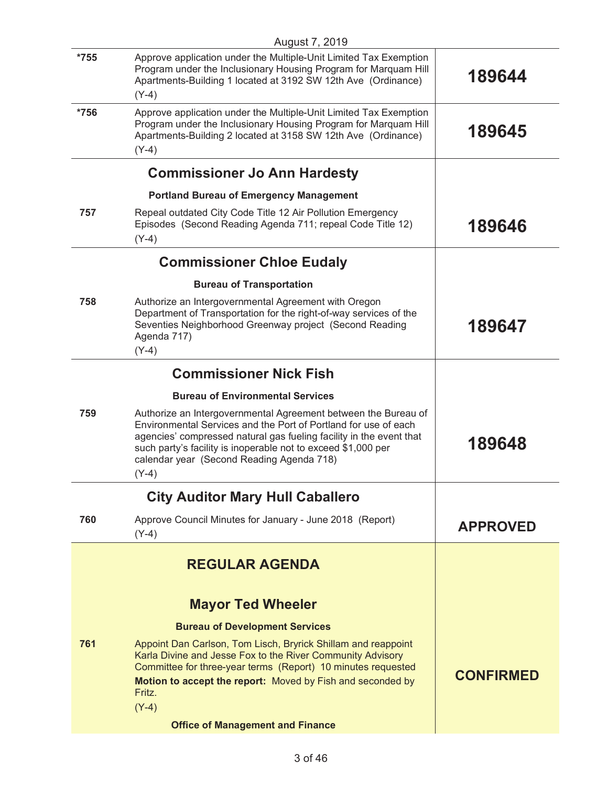|        | August 7, 2019                                                                                                                                                                                                                                                                                                                    |                  |
|--------|-----------------------------------------------------------------------------------------------------------------------------------------------------------------------------------------------------------------------------------------------------------------------------------------------------------------------------------|------------------|
| $*755$ | Approve application under the Multiple-Unit Limited Tax Exemption<br>Program under the Inclusionary Housing Program for Marquam Hill<br>Apartments-Building 1 located at 3192 SW 12th Ave (Ordinance)                                                                                                                             | 189644           |
|        | $(Y-4)$                                                                                                                                                                                                                                                                                                                           |                  |
| $*756$ | Approve application under the Multiple-Unit Limited Tax Exemption<br>Program under the Inclusionary Housing Program for Marquam Hill<br>Apartments-Building 2 located at 3158 SW 12th Ave (Ordinance)                                                                                                                             | 189645           |
|        | $(Y-4)$                                                                                                                                                                                                                                                                                                                           |                  |
|        | <b>Commissioner Jo Ann Hardesty</b>                                                                                                                                                                                                                                                                                               |                  |
|        | <b>Portland Bureau of Emergency Management</b>                                                                                                                                                                                                                                                                                    |                  |
| 757    | Repeal outdated City Code Title 12 Air Pollution Emergency<br>Episodes (Second Reading Agenda 711; repeal Code Title 12)<br>$(Y-4)$                                                                                                                                                                                               | 189646           |
|        | <b>Commissioner Chloe Eudaly</b>                                                                                                                                                                                                                                                                                                  |                  |
|        | <b>Bureau of Transportation</b>                                                                                                                                                                                                                                                                                                   |                  |
| 758    | Authorize an Intergovernmental Agreement with Oregon<br>Department of Transportation for the right-of-way services of the<br>Seventies Neighborhood Greenway project (Second Reading<br>Agenda 717)<br>$(Y-4)$                                                                                                                    | 189647           |
|        | <b>Commissioner Nick Fish</b>                                                                                                                                                                                                                                                                                                     |                  |
|        | <b>Bureau of Environmental Services</b>                                                                                                                                                                                                                                                                                           |                  |
| 759    | Authorize an Intergovernmental Agreement between the Bureau of<br>Environmental Services and the Port of Portland for use of each<br>agencies' compressed natural gas fueling facility in the event that<br>such party's facility is inoperable not to exceed \$1,000 per<br>calendar year (Second Reading Agenda 718)<br>$(Y-4)$ | 189648           |
|        | <b>City Auditor Mary Hull Caballero</b>                                                                                                                                                                                                                                                                                           |                  |
| 760    | Approve Council Minutes for January - June 2018 (Report)<br>$(Y-4)$                                                                                                                                                                                                                                                               | <b>APPROVED</b>  |
|        | <b>REGULAR AGENDA</b>                                                                                                                                                                                                                                                                                                             |                  |
|        | <b>Mayor Ted Wheeler</b>                                                                                                                                                                                                                                                                                                          |                  |
|        | <b>Bureau of Development Services</b>                                                                                                                                                                                                                                                                                             |                  |
| 761    | Appoint Dan Carlson, Tom Lisch, Bryrick Shillam and reappoint<br>Karla Divine and Jesse Fox to the River Community Advisory<br>Committee for three-year terms (Report) 10 minutes requested<br>Motion to accept the report: Moved by Fish and seconded by<br>Fritz.                                                               | <b>CONFIRMED</b> |
|        | $(Y-4)$                                                                                                                                                                                                                                                                                                                           |                  |
|        | <b>Office of Management and Finance</b>                                                                                                                                                                                                                                                                                           |                  |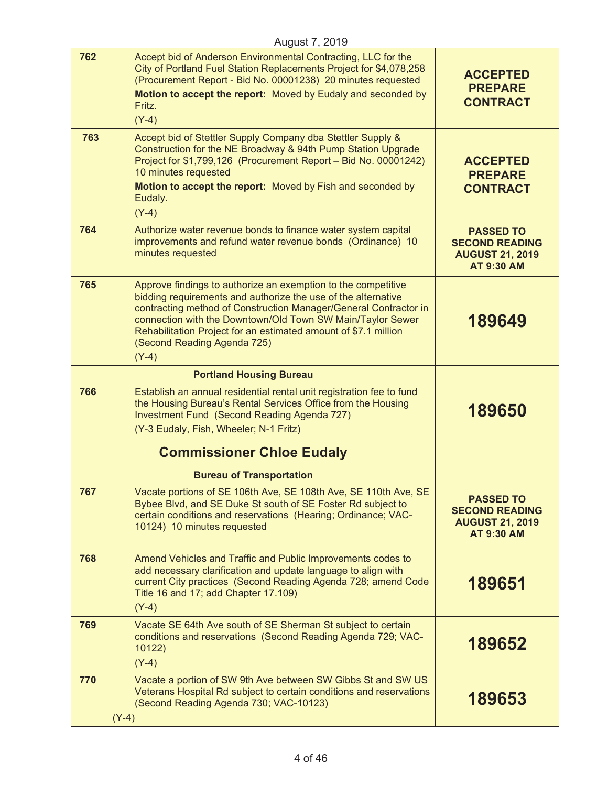| August 7, 2019 |                                                                                                                                                                                                                                                                                                                                                                               |                                                                                          |
|----------------|-------------------------------------------------------------------------------------------------------------------------------------------------------------------------------------------------------------------------------------------------------------------------------------------------------------------------------------------------------------------------------|------------------------------------------------------------------------------------------|
| 762            | Accept bid of Anderson Environmental Contracting, LLC for the<br>City of Portland Fuel Station Replacements Project for \$4,078,258<br>(Procurement Report - Bid No. 00001238) 20 minutes requested<br>Motion to accept the report: Moved by Eudaly and seconded by<br>Fritz.<br>$(Y-4)$                                                                                      | <b>ACCEPTED</b><br><b>PREPARE</b><br><b>CONTRACT</b>                                     |
| 763            | Accept bid of Stettler Supply Company dba Stettler Supply &<br>Construction for the NE Broadway & 94th Pump Station Upgrade<br>Project for \$1,799,126 (Procurement Report - Bid No. 00001242)<br>10 minutes requested<br>Motion to accept the report: Moved by Fish and seconded by<br>Eudaly.<br>$(Y-4)$                                                                    | <b>ACCEPTED</b><br><b>PREPARE</b><br><b>CONTRACT</b>                                     |
| 764            | Authorize water revenue bonds to finance water system capital<br>improvements and refund water revenue bonds (Ordinance) 10<br>minutes requested                                                                                                                                                                                                                              | <b>PASSED TO</b><br><b>SECOND READING</b><br><b>AUGUST 21, 2019</b><br><b>AT 9:30 AM</b> |
| 765            | Approve findings to authorize an exemption to the competitive<br>bidding requirements and authorize the use of the alternative<br>contracting method of Construction Manager/General Contractor in<br>connection with the Downtown/Old Town SW Main/Taylor Sewer<br>Rehabilitation Project for an estimated amount of \$7.1 million<br>(Second Reading Agenda 725)<br>$(Y-4)$ | 189649                                                                                   |
|                | <b>Portland Housing Bureau</b>                                                                                                                                                                                                                                                                                                                                                |                                                                                          |
| 766            | Establish an annual residential rental unit registration fee to fund<br>the Housing Bureau's Rental Services Office from the Housing<br>Investment Fund (Second Reading Agenda 727)<br>(Y-3 Eudaly, Fish, Wheeler; N-1 Fritz)                                                                                                                                                 | 189650                                                                                   |
|                | <b>Commissioner Chloe Eudaly</b>                                                                                                                                                                                                                                                                                                                                              |                                                                                          |
|                | <b>Bureau of Transportation</b>                                                                                                                                                                                                                                                                                                                                               |                                                                                          |
| 767            | Vacate portions of SE 106th Ave, SE 108th Ave, SE 110th Ave, SE<br>Bybee Blvd, and SE Duke St south of SE Foster Rd subject to<br>certain conditions and reservations (Hearing; Ordinance; VAC-<br>10124) 10 minutes requested                                                                                                                                                | <b>PASSED TO</b><br><b>SECOND READING</b><br><b>AUGUST 21, 2019</b><br><b>AT 9:30 AM</b> |
| 768            | Amend Vehicles and Traffic and Public Improvements codes to<br>add necessary clarification and update language to align with<br>current City practices (Second Reading Agenda 728; amend Code<br>Title 16 and 17; add Chapter 17.109)<br>$(Y-4)$                                                                                                                              | 189651                                                                                   |
| 769            | Vacate SE 64th Ave south of SE Sherman St subject to certain<br>conditions and reservations (Second Reading Agenda 729; VAC-<br>10122)<br>$(Y-4)$                                                                                                                                                                                                                             | 189652                                                                                   |
| 770<br>$(Y-4)$ | Vacate a portion of SW 9th Ave between SW Gibbs St and SW US<br>Veterans Hospital Rd subject to certain conditions and reservations<br>(Second Reading Agenda 730; VAC-10123)                                                                                                                                                                                                 | 189653                                                                                   |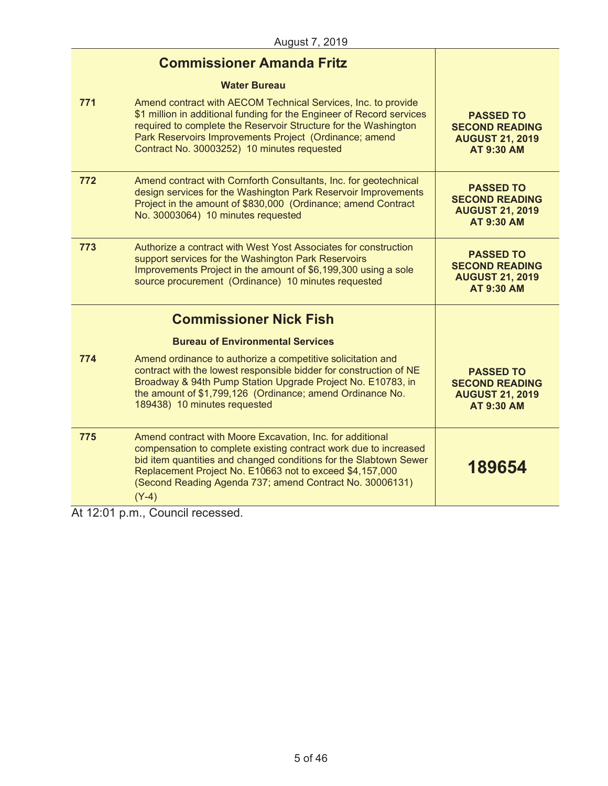|     | <b>Commissioner Amanda Fritz</b>                                                                                                                                                                                                                                                                                                      |                                                                                          |
|-----|---------------------------------------------------------------------------------------------------------------------------------------------------------------------------------------------------------------------------------------------------------------------------------------------------------------------------------------|------------------------------------------------------------------------------------------|
|     | <b>Water Bureau</b>                                                                                                                                                                                                                                                                                                                   |                                                                                          |
| 771 | Amend contract with AECOM Technical Services, Inc. to provide<br>\$1 million in additional funding for the Engineer of Record services<br>required to complete the Reservoir Structure for the Washington<br>Park Reservoirs Improvements Project (Ordinance; amend<br>Contract No. 30003252) 10 minutes requested                    | <b>PASSED TO</b><br><b>SECOND READING</b><br><b>AUGUST 21, 2019</b><br><b>AT 9:30 AM</b> |
| 772 | Amend contract with Cornforth Consultants, Inc. for geotechnical<br>design services for the Washington Park Reservoir Improvements<br>Project in the amount of \$830,000 (Ordinance; amend Contract<br>No. 30003064) 10 minutes requested                                                                                             | <b>PASSED TO</b><br><b>SECOND READING</b><br><b>AUGUST 21, 2019</b><br><b>AT 9:30 AM</b> |
| 773 | Authorize a contract with West Yost Associates for construction<br>support services for the Washington Park Reservoirs<br>Improvements Project in the amount of \$6,199,300 using a sole<br>source procurement (Ordinance) 10 minutes requested                                                                                       | <b>PASSED TO</b><br><b>SECOND READING</b><br><b>AUGUST 21, 2019</b><br><b>AT 9:30 AM</b> |
|     | <b>Commissioner Nick Fish</b>                                                                                                                                                                                                                                                                                                         |                                                                                          |
|     | <b>Bureau of Environmental Services</b>                                                                                                                                                                                                                                                                                               |                                                                                          |
| 774 | Amend ordinance to authorize a competitive solicitation and<br>contract with the lowest responsible bidder for construction of NE<br>Broadway & 94th Pump Station Upgrade Project No. E10783, in<br>the amount of \$1,799,126 (Ordinance; amend Ordinance No.<br>189438) 10 minutes requested                                         | <b>PASSED TO</b><br><b>SECOND READING</b><br><b>AUGUST 21, 2019</b><br><b>AT 9:30 AM</b> |
| 775 | Amend contract with Moore Excavation, Inc. for additional<br>compensation to complete existing contract work due to increased<br>bid item quantities and changed conditions for the Slabtown Sewer<br>Replacement Project No. E10663 not to exceed \$4,157,000<br>(Second Reading Agenda 737; amend Contract No. 30006131)<br>$(Y-4)$ | 189654                                                                                   |

At 12:01 p.m., Council recessed.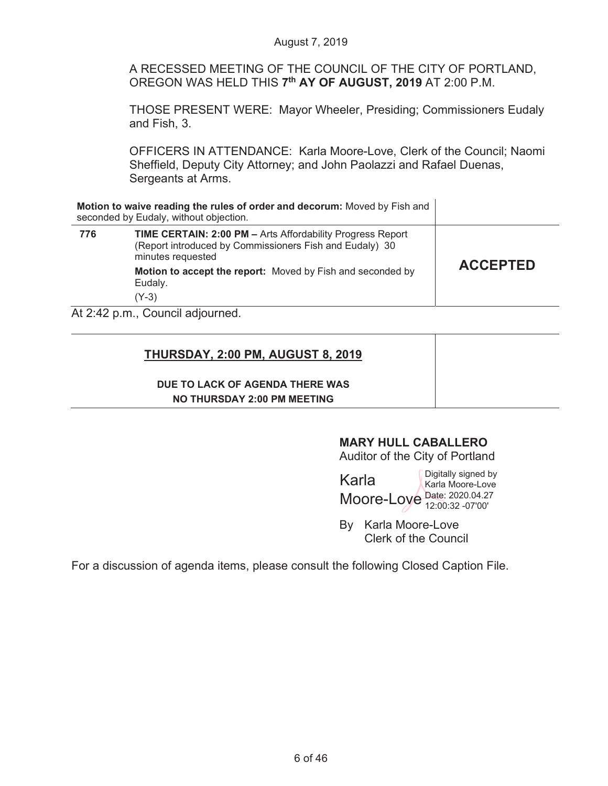A RECESSED MEETING OF THE COUNCIL OF THE CITY OF PORTLAND, OREGON WAS HELD THIS **7th AY OF AUGUST, 2019** AT 2:00 P.M.

THOSE PRESENT WERE: Mayor Wheeler, Presiding; Commissioners Eudaly and Fish, 3.

OFFICERS IN ATTENDANCE: Karla Moore-Love, Clerk of the Council; Naomi Sheffield, Deputy City Attorney; and John Paolazzi and Rafael Duenas, Sergeants at Arms.

|     | Motion to waive reading the rules of order and decorum: Moved by Fish and<br>seconded by Eudaly, without objection.                               |                 |
|-----|---------------------------------------------------------------------------------------------------------------------------------------------------|-----------------|
| 776 | <b>TIME CERTAIN: 2:00 PM - Arts Affordability Progress Report</b><br>(Report introduced by Commissioners Fish and Eudaly) 30<br>minutes requested |                 |
|     | Motion to accept the report: Moved by Fish and seconded by<br>Eudaly.                                                                             | <b>ACCEPTED</b> |
|     | (Y-3)                                                                                                                                             |                 |
|     | $\Delta f$ 2.42 n m $\Gamma$ Ouncil adjourned                                                                                                     |                 |

At 2:42 p.m., Council adjourned.

## **THURSDAY, 2:00 PM, AUGUST 8, 2019**

#### **DUE TO LACK OF AGENDA THERE WAS NO THURSDAY 2:00 PM MEETING**

## **MARY HULL CABALLERO**

Auditor of the City of Portland

|                             | Digitally signed by |
|-----------------------------|---------------------|
| Karla                       | Karla Moore-Love    |
| Moore-Loye Date: 2020.04.27 |                     |
|                             |                     |

By Karla Moore-Love Clerk of the Council

For a discussion of agenda items, please consult the following Closed Caption File.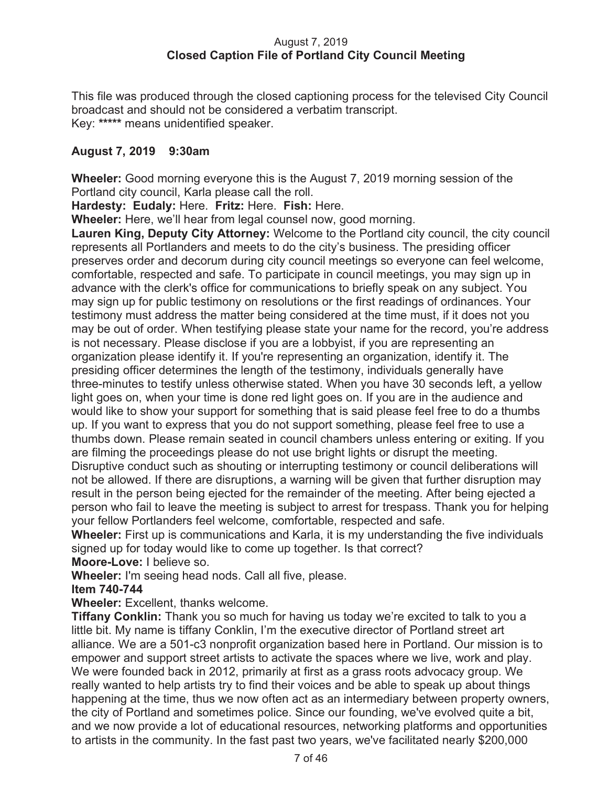#### August 7, 2019  **Closed Caption File of Portland City Council Meeting**

This file was produced through the closed captioning process for the televised City Council broadcast and should not be considered a verbatim transcript. Key: **\*\*\*\*\*** means unidentified speaker.

## **August 7, 2019 9:30am**

**Wheeler:** Good morning everyone this is the August 7, 2019 morning session of the Portland city council, Karla please call the roll.

**Hardesty: Eudaly:** Here. **Fritz:** Here. **Fish:** Here.

**Wheeler:** Here, we'll hear from legal counsel now, good morning.

**Lauren King, Deputy City Attorney:** Welcome to the Portland city council, the city council represents all Portlanders and meets to do the city's business. The presiding officer preserves order and decorum during city council meetings so everyone can feel welcome, comfortable, respected and safe. To participate in council meetings, you may sign up in advance with the clerk's office for communications to briefly speak on any subject. You may sign up for public testimony on resolutions or the first readings of ordinances. Your testimony must address the matter being considered at the time must, if it does not you may be out of order. When testifying please state your name for the record, you're address is not necessary. Please disclose if you are a lobbyist, if you are representing an organization please identify it. If you're representing an organization, identify it. The presiding officer determines the length of the testimony, individuals generally have three-minutes to testify unless otherwise stated. When you have 30 seconds left, a yellow light goes on, when your time is done red light goes on. If you are in the audience and would like to show your support for something that is said please feel free to do a thumbs up. If you want to express that you do not support something, please feel free to use a thumbs down. Please remain seated in council chambers unless entering or exiting. If you are filming the proceedings please do not use bright lights or disrupt the meeting. Disruptive conduct such as shouting or interrupting testimony or council deliberations will not be allowed. If there are disruptions, a warning will be given that further disruption may result in the person being ejected for the remainder of the meeting. After being ejected a person who fail to leave the meeting is subject to arrest for trespass. Thank you for helping your fellow Portlanders feel welcome, comfortable, respected and safe.

**Wheeler:** First up is communications and Karla, it is my understanding the five individuals signed up for today would like to come up together. Is that correct? **Moore-Love:** I believe so.

**Wheeler:** I'm seeing head nods. Call all five, please.

#### **Item 740-744**

#### **Wheeler:** Excellent, thanks welcome.

**Tiffany Conklin:** Thank you so much for having us today we're excited to talk to you a little bit. My name is tiffany Conklin, I'm the executive director of Portland street art alliance. We are a 501-c3 nonprofit organization based here in Portland. Our mission is to empower and support street artists to activate the spaces where we live, work and play. We were founded back in 2012, primarily at first as a grass roots advocacy group. We really wanted to help artists try to find their voices and be able to speak up about things happening at the time, thus we now often act as an intermediary between property owners, the city of Portland and sometimes police. Since our founding, we've evolved quite a bit, and we now provide a lot of educational resources, networking platforms and opportunities to artists in the community. In the fast past two years, we've facilitated nearly \$200,000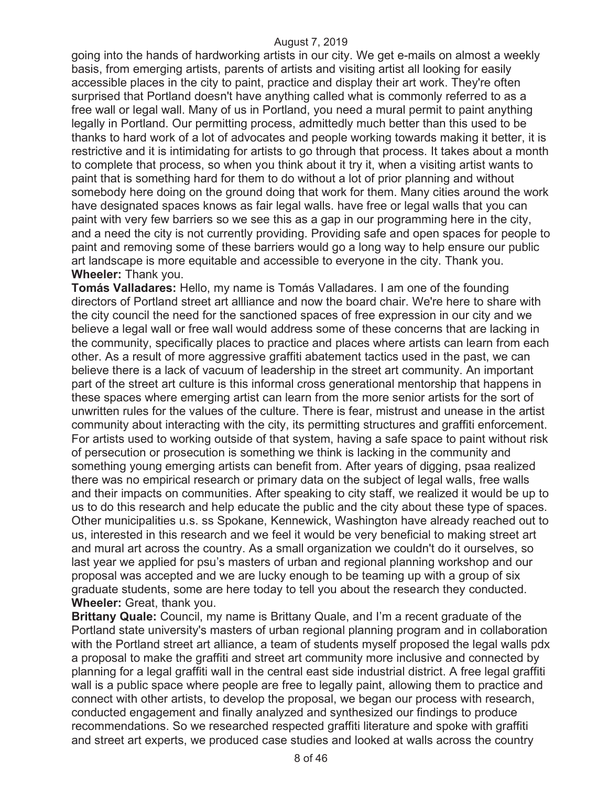going into the hands of hardworking artists in our city. We get e-mails on almost a weekly basis, from emerging artists, parents of artists and visiting artist all looking for easily accessible places in the city to paint, practice and display their art work. They're often surprised that Portland doesn't have anything called what is commonly referred to as a free wall or legal wall. Many of us in Portland, you need a mural permit to paint anything legally in Portland. Our permitting process, admittedly much better than this used to be thanks to hard work of a lot of advocates and people working towards making it better, it is restrictive and it is intimidating for artists to go through that process. It takes about a month to complete that process, so when you think about it try it, when a visiting artist wants to paint that is something hard for them to do without a lot of prior planning and without somebody here doing on the ground doing that work for them. Many cities around the work have designated spaces knows as fair legal walls. have free or legal walls that you can paint with very few barriers so we see this as a gap in our programming here in the city, and a need the city is not currently providing. Providing safe and open spaces for people to paint and removing some of these barriers would go a long way to help ensure our public art landscape is more equitable and accessible to everyone in the city. Thank you. **Wheeler:** Thank you.

**Tomás Valladares:** Hello, my name is Tomás Valladares. I am one of the founding directors of Portland street art allliance and now the board chair. We're here to share with the city council the need for the sanctioned spaces of free expression in our city and we believe a legal wall or free wall would address some of these concerns that are lacking in the community, specifically places to practice and places where artists can learn from each other. As a result of more aggressive graffiti abatement tactics used in the past, we can believe there is a lack of vacuum of leadership in the street art community. An important part of the street art culture is this informal cross generational mentorship that happens in these spaces where emerging artist can learn from the more senior artists for the sort of unwritten rules for the values of the culture. There is fear, mistrust and unease in the artist community about interacting with the city, its permitting structures and graffiti enforcement. For artists used to working outside of that system, having a safe space to paint without risk of persecution or prosecution is something we think is lacking in the community and something young emerging artists can benefit from. After years of digging, psaa realized there was no empirical research or primary data on the subject of legal walls, free walls and their impacts on communities. After speaking to city staff, we realized it would be up to us to do this research and help educate the public and the city about these type of spaces. Other municipalities u.s. ss Spokane, Kennewick, Washington have already reached out to us, interested in this research and we feel it would be very beneficial to making street art and mural art across the country. As a small organization we couldn't do it ourselves, so last year we applied for psu's masters of urban and regional planning workshop and our proposal was accepted and we are lucky enough to be teaming up with a group of six graduate students, some are here today to tell you about the research they conducted. **Wheeler:** Great, thank you.

**Brittany Quale:** Council, my name is Brittany Quale, and I'm a recent graduate of the Portland state university's masters of urban regional planning program and in collaboration with the Portland street art alliance, a team of students myself proposed the legal walls pdx a proposal to make the graffiti and street art community more inclusive and connected by planning for a legal graffiti wall in the central east side industrial district. A free legal graffiti wall is a public space where people are free to legally paint, allowing them to practice and connect with other artists, to develop the proposal, we began our process with research, conducted engagement and finally analyzed and synthesized our findings to produce recommendations. So we researched respected graffiti literature and spoke with graffiti and street art experts, we produced case studies and looked at walls across the country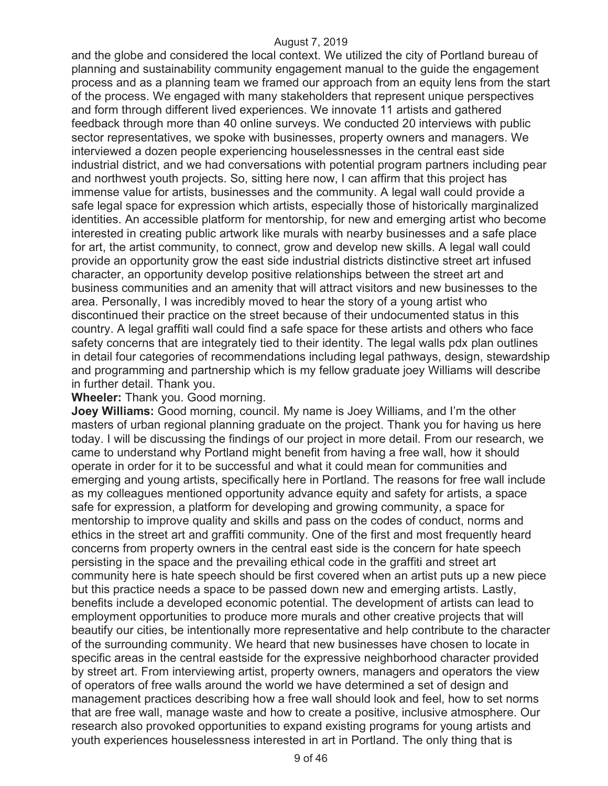and the globe and considered the local context. We utilized the city of Portland bureau of planning and sustainability community engagement manual to the guide the engagement process and as a planning team we framed our approach from an equity lens from the start of the process. We engaged with many stakeholders that represent unique perspectives and form through different lived experiences. We innovate 11 artists and gathered feedback through more than 40 online surveys. We conducted 20 interviews with public sector representatives, we spoke with businesses, property owners and managers. We interviewed a dozen people experiencing houselessnesses in the central east side industrial district, and we had conversations with potential program partners including pear and northwest youth projects. So, sitting here now, I can affirm that this project has immense value for artists, businesses and the community. A legal wall could provide a safe legal space for expression which artists, especially those of historically marginalized identities. An accessible platform for mentorship, for new and emerging artist who become interested in creating public artwork like murals with nearby businesses and a safe place for art, the artist community, to connect, grow and develop new skills. A legal wall could provide an opportunity grow the east side industrial districts distinctive street art infused character, an opportunity develop positive relationships between the street art and business communities and an amenity that will attract visitors and new businesses to the area. Personally, I was incredibly moved to hear the story of a young artist who discontinued their practice on the street because of their undocumented status in this country. A legal graffiti wall could find a safe space for these artists and others who face safety concerns that are integrately tied to their identity. The legal walls pdx plan outlines in detail four categories of recommendations including legal pathways, design, stewardship and programming and partnership which is my fellow graduate joey Williams will describe in further detail. Thank you.

#### **Wheeler:** Thank you. Good morning.

**Joey Williams:** Good morning, council. My name is Joey Williams, and I'm the other masters of urban regional planning graduate on the project. Thank you for having us here today. I will be discussing the findings of our project in more detail. From our research, we came to understand why Portland might benefit from having a free wall, how it should operate in order for it to be successful and what it could mean for communities and emerging and young artists, specifically here in Portland. The reasons for free wall include as my colleagues mentioned opportunity advance equity and safety for artists, a space safe for expression, a platform for developing and growing community, a space for mentorship to improve quality and skills and pass on the codes of conduct, norms and ethics in the street art and graffiti community. One of the first and most frequently heard concerns from property owners in the central east side is the concern for hate speech persisting in the space and the prevailing ethical code in the graffiti and street art community here is hate speech should be first covered when an artist puts up a new piece but this practice needs a space to be passed down new and emerging artists. Lastly, benefits include a developed economic potential. The development of artists can lead to employment opportunities to produce more murals and other creative projects that will beautify our cities, be intentionally more representative and help contribute to the character of the surrounding community. We heard that new businesses have chosen to locate in specific areas in the central eastside for the expressive neighborhood character provided by street art. From interviewing artist, property owners, managers and operators the view of operators of free walls around the world we have determined a set of design and management practices describing how a free wall should look and feel, how to set norms that are free wall, manage waste and how to create a positive, inclusive atmosphere. Our research also provoked opportunities to expand existing programs for young artists and youth experiences houselessness interested in art in Portland. The only thing that is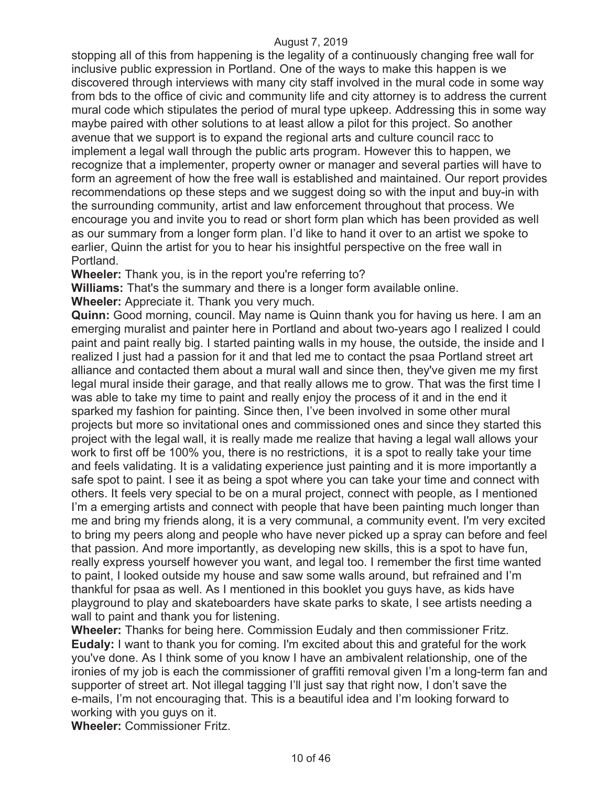stopping all of this from happening is the legality of a continuously changing free wall for inclusive public expression in Portland. One of the ways to make this happen is we discovered through interviews with many city staff involved in the mural code in some way from bds to the office of civic and community life and city attorney is to address the current mural code which stipulates the period of mural type upkeep. Addressing this in some way maybe paired with other solutions to at least allow a pilot for this project. So another avenue that we support is to expand the regional arts and culture council racc to implement a legal wall through the public arts program. However this to happen, we recognize that a implementer, property owner or manager and several parties will have to form an agreement of how the free wall is established and maintained. Our report provides recommendations op these steps and we suggest doing so with the input and buy-in with the surrounding community, artist and law enforcement throughout that process. We encourage you and invite you to read or short form plan which has been provided as well as our summary from a longer form plan. I'd like to hand it over to an artist we spoke to earlier, Quinn the artist for you to hear his insightful perspective on the free wall in Portland.

**Wheeler:** Thank you, is in the report you're referring to?

**Williams:** That's the summary and there is a longer form available online.

**Wheeler:** Appreciate it. Thank you very much.

**Quinn:** Good morning, council. May name is Quinn thank you for having us here. I am an emerging muralist and painter here in Portland and about two-years ago I realized I could paint and paint really big. I started painting walls in my house, the outside, the inside and I realized I just had a passion for it and that led me to contact the psaa Portland street art alliance and contacted them about a mural wall and since then, they've given me my first legal mural inside their garage, and that really allows me to grow. That was the first time I was able to take my time to paint and really enjoy the process of it and in the end it sparked my fashion for painting. Since then, I've been involved in some other mural projects but more so invitational ones and commissioned ones and since they started this project with the legal wall, it is really made me realize that having a legal wall allows your work to first off be 100% you, there is no restrictions, it is a spot to really take your time and feels validating. It is a validating experience just painting and it is more importantly a safe spot to paint. I see it as being a spot where you can take your time and connect with others. It feels very special to be on a mural project, connect with people, as I mentioned I'm a emerging artists and connect with people that have been painting much longer than me and bring my friends along, it is a very communal, a community event. I'm very excited to bring my peers along and people who have never picked up a spray can before and feel that passion. And more importantly, as developing new skills, this is a spot to have fun, really express yourself however you want, and legal too. I remember the first time wanted to paint, I looked outside my house and saw some walls around, but refrained and I'm thankful for psaa as well. As I mentioned in this booklet you guys have, as kids have playground to play and skateboarders have skate parks to skate, I see artists needing a wall to paint and thank you for listening.

**Wheeler:** Thanks for being here. Commission Eudaly and then commissioner Fritz. **Eudaly:** I want to thank you for coming. I'm excited about this and grateful for the work you've done. As I think some of you know I have an ambivalent relationship, one of the ironies of my job is each the commissioner of graffiti removal given I'm a long-term fan and supporter of street art. Not illegal tagging I'll just say that right now, I don't save the e-mails, I'm not encouraging that. This is a beautiful idea and I'm looking forward to working with you guys on it.

**Wheeler:** Commissioner Fritz.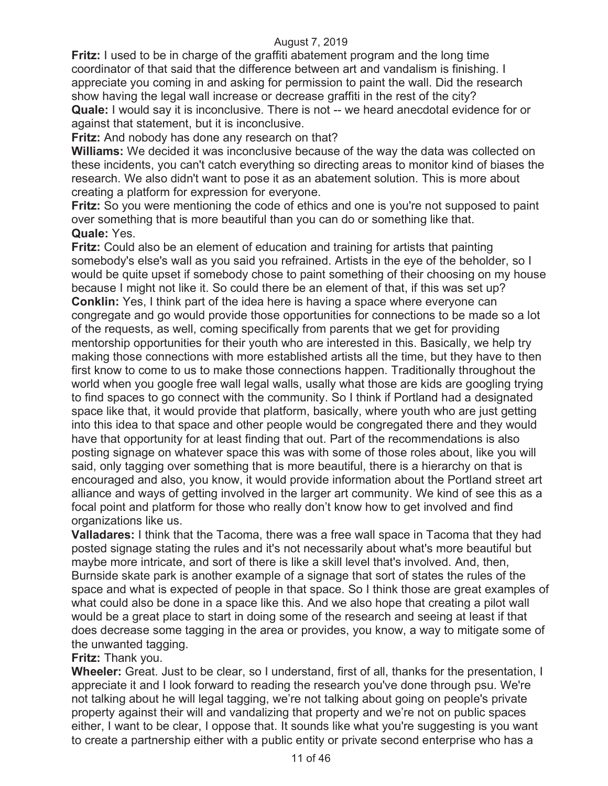**Fritz:** I used to be in charge of the graffiti abatement program and the long time coordinator of that said that the difference between art and vandalism is finishing. I appreciate you coming in and asking for permission to paint the wall. Did the research show having the legal wall increase or decrease graffiti in the rest of the city? **Quale:** I would say it is inconclusive. There is not -- we heard anecdotal evidence for or against that statement, but it is inconclusive.

**Fritz:** And nobody has done any research on that?

**Williams:** We decided it was inconclusive because of the way the data was collected on these incidents, you can't catch everything so directing areas to monitor kind of biases the research. We also didn't want to pose it as an abatement solution. This is more about creating a platform for expression for everyone.

**Fritz:** So you were mentioning the code of ethics and one is you're not supposed to paint over something that is more beautiful than you can do or something like that. **Quale:** Yes.

**Fritz:** Could also be an element of education and training for artists that painting somebody's else's wall as you said you refrained. Artists in the eye of the beholder, so I would be quite upset if somebody chose to paint something of their choosing on my house because I might not like it. So could there be an element of that, if this was set up? **Conklin:** Yes, I think part of the idea here is having a space where everyone can congregate and go would provide those opportunities for connections to be made so a lot of the requests, as well, coming specifically from parents that we get for providing mentorship opportunities for their youth who are interested in this. Basically, we help try making those connections with more established artists all the time, but they have to then first know to come to us to make those connections happen. Traditionally throughout the world when you google free wall legal walls, usally what those are kids are googling trying to find spaces to go connect with the community. So I think if Portland had a designated space like that, it would provide that platform, basically, where youth who are just getting into this idea to that space and other people would be congregated there and they would have that opportunity for at least finding that out. Part of the recommendations is also posting signage on whatever space this was with some of those roles about, like you will said, only tagging over something that is more beautiful, there is a hierarchy on that is encouraged and also, you know, it would provide information about the Portland street art alliance and ways of getting involved in the larger art community. We kind of see this as a focal point and platform for those who really don't know how to get involved and find organizations like us.

**Valladares:** I think that the Tacoma, there was a free wall space in Tacoma that they had posted signage stating the rules and it's not necessarily about what's more beautiful but maybe more intricate, and sort of there is like a skill level that's involved. And, then, Burnside skate park is another example of a signage that sort of states the rules of the space and what is expected of people in that space. So I think those are great examples of what could also be done in a space like this. And we also hope that creating a pilot wall would be a great place to start in doing some of the research and seeing at least if that does decrease some tagging in the area or provides, you know, a way to mitigate some of the unwanted tagging.

#### **Fritz:** Thank you.

**Wheeler:** Great. Just to be clear, so I understand, first of all, thanks for the presentation, I appreciate it and I look forward to reading the research you've done through psu. We're not talking about he will legal tagging, we're not talking about going on people's private property against their will and vandalizing that property and we're not on public spaces either, I want to be clear, I oppose that. It sounds like what you're suggesting is you want to create a partnership either with a public entity or private second enterprise who has a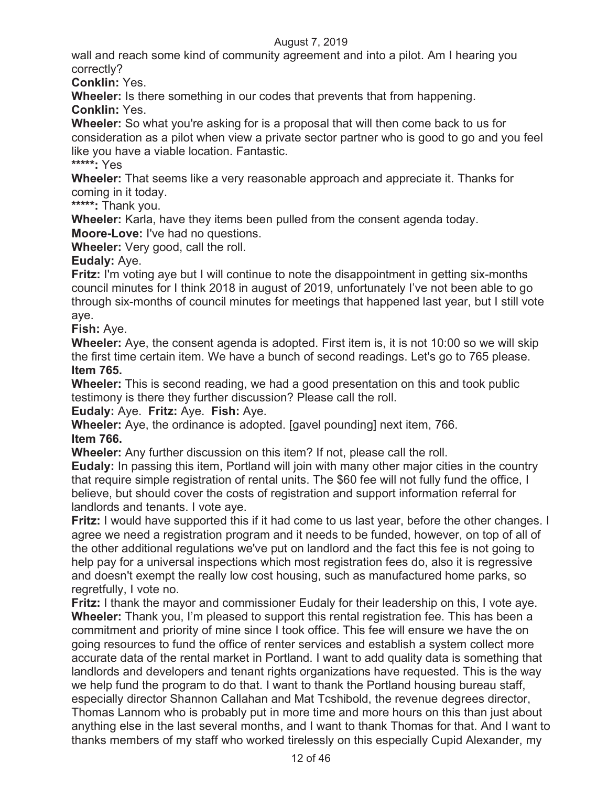wall and reach some kind of community agreement and into a pilot. Am I hearing you correctly?

**Conklin:** Yes.

**Wheeler:** Is there something in our codes that prevents that from happening. **Conklin:** Yes.

**Wheeler:** So what you're asking for is a proposal that will then come back to us for consideration as a pilot when view a private sector partner who is good to go and you feel like you have a viable location. Fantastic.

**\*\*\*\*\*:** Yes

**Wheeler:** That seems like a very reasonable approach and appreciate it. Thanks for coming in it today.

**\*\*\*\*\*:** Thank you.

**Wheeler:** Karla, have they items been pulled from the consent agenda today. **Moore-Love:** I've had no questions.

**Wheeler:** Very good, call the roll.

**Eudaly:** Aye.

**Fritz:** I'm voting aye but I will continue to note the disappointment in getting six-months council minutes for I think 2018 in august of 2019, unfortunately I've not been able to go through six-months of council minutes for meetings that happened last year, but I still vote aye.

**Fish:** Aye.

**Wheeler:** Aye, the consent agenda is adopted. First item is, it is not 10:00 so we will skip the first time certain item. We have a bunch of second readings. Let's go to 765 please. **Item 765.** 

**Wheeler:** This is second reading, we had a good presentation on this and took public testimony is there they further discussion? Please call the roll.

**Eudaly:** Aye. **Fritz:** Aye. **Fish:** Aye.

**Wheeler:** Aye, the ordinance is adopted. [gavel pounding] next item, 766. **Item 766.** 

**Wheeler:** Any further discussion on this item? If not, please call the roll.

**Eudaly:** In passing this item, Portland will join with many other major cities in the country that require simple registration of rental units. The \$60 fee will not fully fund the office, I believe, but should cover the costs of registration and support information referral for landlords and tenants. I vote aye.

**Fritz:** I would have supported this if it had come to us last year, before the other changes. I agree we need a registration program and it needs to be funded, however, on top of all of the other additional regulations we've put on landlord and the fact this fee is not going to help pay for a universal inspections which most registration fees do, also it is regressive and doesn't exempt the really low cost housing, such as manufactured home parks, so regretfully, I vote no.

**Fritz:** I thank the mayor and commissioner Eudaly for their leadership on this, I vote aye. **Wheeler:** Thank you, I'm pleased to support this rental registration fee. This has been a commitment and priority of mine since I took office. This fee will ensure we have the on going resources to fund the office of renter services and establish a system collect more accurate data of the rental market in Portland. I want to add quality data is something that landlords and developers and tenant rights organizations have requested. This is the way we help fund the program to do that. I want to thank the Portland housing bureau staff, especially director Shannon Callahan and Mat Tcshibold, the revenue degrees director, Thomas Lannom who is probably put in more time and more hours on this than just about anything else in the last several months, and I want to thank Thomas for that. And I want to thanks members of my staff who worked tirelessly on this especially Cupid Alexander, my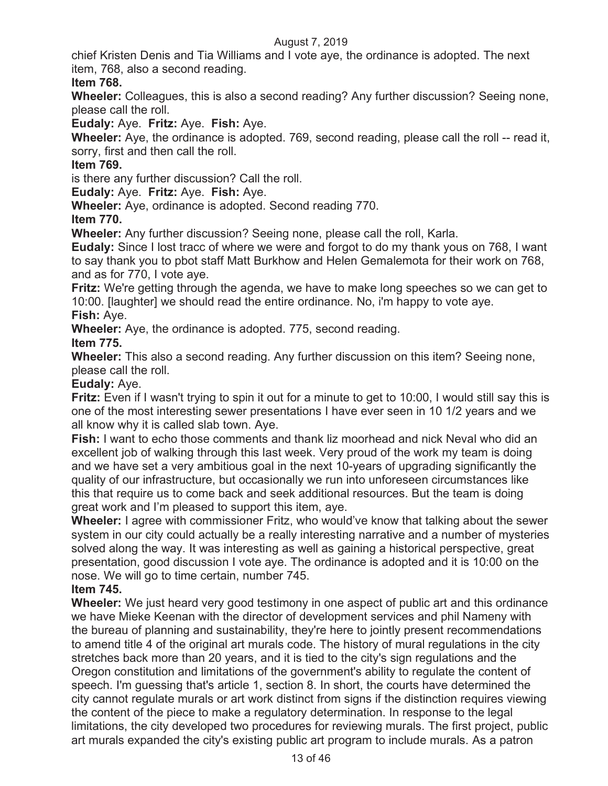chief Kristen Denis and Tia Williams and I vote aye, the ordinance is adopted. The next item, 768, also a second reading.

## **Item 768.**

**Wheeler:** Colleagues, this is also a second reading? Any further discussion? Seeing none, please call the roll.

**Eudaly:** Aye. **Fritz:** Aye. **Fish:** Aye.

**Wheeler:** Aye, the ordinance is adopted. 769, second reading, please call the roll -- read it, sorry, first and then call the roll.

## **Item 769.**

is there any further discussion? Call the roll.

**Eudaly:** Aye. **Fritz:** Aye. **Fish:** Aye.

**Wheeler:** Aye, ordinance is adopted. Second reading 770.

#### **Item 770.**

**Wheeler:** Any further discussion? Seeing none, please call the roll, Karla.

**Eudaly:** Since I lost tracc of where we were and forgot to do my thank yous on 768, I want to say thank you to pbot staff Matt Burkhow and Helen Gemalemota for their work on 768, and as for 770, I vote aye.

**Fritz:** We're getting through the agenda, we have to make long speeches so we can get to 10:00. [laughter] we should read the entire ordinance. No, i'm happy to vote aye. **Fish:** Aye.

**Wheeler:** Aye, the ordinance is adopted. 775, second reading.

## **Item 775.**

**Wheeler:** This also a second reading. Any further discussion on this item? Seeing none, please call the roll.

#### **Eudaly:** Aye.

**Fritz:** Even if I wasn't trying to spin it out for a minute to get to 10:00, I would still say this is one of the most interesting sewer presentations I have ever seen in 10 1/2 years and we all know why it is called slab town. Aye.

**Fish:** I want to echo those comments and thank liz moorhead and nick Neval who did an excellent job of walking through this last week. Very proud of the work my team is doing and we have set a very ambitious goal in the next 10-years of upgrading significantly the quality of our infrastructure, but occasionally we run into unforeseen circumstances like this that require us to come back and seek additional resources. But the team is doing great work and I'm pleased to support this item, aye.

**Wheeler:** I agree with commissioner Fritz, who would've know that talking about the sewer system in our city could actually be a really interesting narrative and a number of mysteries solved along the way. It was interesting as well as gaining a historical perspective, great presentation, good discussion I vote aye. The ordinance is adopted and it is 10:00 on the nose. We will go to time certain, number 745.

#### **Item 745.**

**Wheeler:** We just heard very good testimony in one aspect of public art and this ordinance we have Mieke Keenan with the director of development services and phil Nameny with the bureau of planning and sustainability, they're here to jointly present recommendations to amend title 4 of the original art murals code. The history of mural regulations in the city stretches back more than 20 years, and it is tied to the city's sign regulations and the Oregon constitution and limitations of the government's ability to regulate the content of speech. I'm guessing that's article 1, section 8. In short, the courts have determined the city cannot regulate murals or art work distinct from signs if the distinction requires viewing the content of the piece to make a regulatory determination. In response to the legal limitations, the city developed two procedures for reviewing murals. The first project, public art murals expanded the city's existing public art program to include murals. As a patron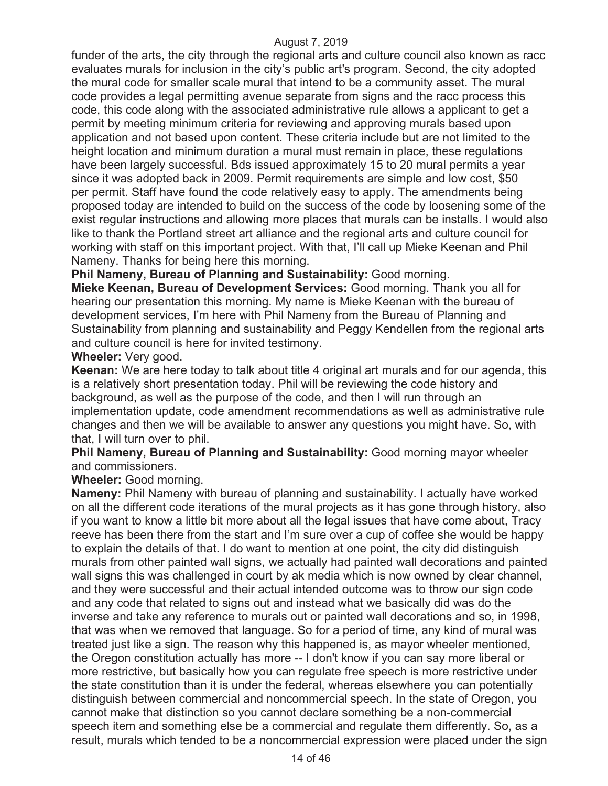funder of the arts, the city through the regional arts and culture council also known as racc evaluates murals for inclusion in the city's public art's program. Second, the city adopted the mural code for smaller scale mural that intend to be a community asset. The mural code provides a legal permitting avenue separate from signs and the racc process this code, this code along with the associated administrative rule allows a applicant to get a permit by meeting minimum criteria for reviewing and approving murals based upon application and not based upon content. These criteria include but are not limited to the height location and minimum duration a mural must remain in place, these regulations have been largely successful. Bds issued approximately 15 to 20 mural permits a year since it was adopted back in 2009. Permit requirements are simple and low cost, \$50 per permit. Staff have found the code relatively easy to apply. The amendments being proposed today are intended to build on the success of the code by loosening some of the exist regular instructions and allowing more places that murals can be installs. I would also like to thank the Portland street art alliance and the regional arts and culture council for working with staff on this important project. With that, I'll call up Mieke Keenan and Phil Nameny. Thanks for being here this morning.

**Phil Nameny, Bureau of Planning and Sustainability:** Good morning.

**Mieke Keenan, Bureau of Development Services:** Good morning. Thank you all for hearing our presentation this morning. My name is Mieke Keenan with the bureau of development services, I'm here with Phil Nameny from the Bureau of Planning and Sustainability from planning and sustainability and Peggy Kendellen from the regional arts and culture council is here for invited testimony.

## **Wheeler:** Very good.

**Keenan:** We are here today to talk about title 4 original art murals and for our agenda, this is a relatively short presentation today. Phil will be reviewing the code history and background, as well as the purpose of the code, and then I will run through an implementation update, code amendment recommendations as well as administrative rule changes and then we will be available to answer any questions you might have. So, with that, I will turn over to phil.

**Phil Nameny, Bureau of Planning and Sustainability: Good morning mayor wheeler** and commissioners.

#### **Wheeler:** Good morning.

**Nameny:** Phil Nameny with bureau of planning and sustainability. I actually have worked on all the different code iterations of the mural projects as it has gone through history, also if you want to know a little bit more about all the legal issues that have come about, Tracy reeve has been there from the start and I'm sure over a cup of coffee she would be happy to explain the details of that. I do want to mention at one point, the city did distinguish murals from other painted wall signs, we actually had painted wall decorations and painted wall signs this was challenged in court by ak media which is now owned by clear channel, and they were successful and their actual intended outcome was to throw our sign code and any code that related to signs out and instead what we basically did was do the inverse and take any reference to murals out or painted wall decorations and so, in 1998, that was when we removed that language. So for a period of time, any kind of mural was treated just like a sign. The reason why this happened is, as mayor wheeler mentioned, the Oregon constitution actually has more -- I don't know if you can say more liberal or more restrictive, but basically how you can regulate free speech is more restrictive under the state constitution than it is under the federal, whereas elsewhere you can potentially distinguish between commercial and noncommercial speech. In the state of Oregon, you cannot make that distinction so you cannot declare something be a non-commercial speech item and something else be a commercial and regulate them differently. So, as a result, murals which tended to be a noncommercial expression were placed under the sign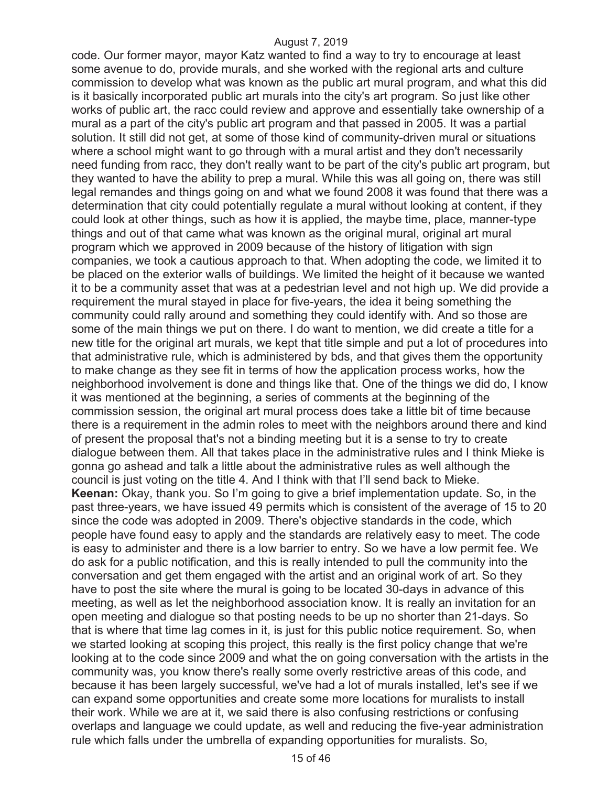code. Our former mayor, mayor Katz wanted to find a way to try to encourage at least some avenue to do, provide murals, and she worked with the regional arts and culture commission to develop what was known as the public art mural program, and what this did is it basically incorporated public art murals into the city's art program. So just like other works of public art, the racc could review and approve and essentially take ownership of a mural as a part of the city's public art program and that passed in 2005. It was a partial solution. It still did not get, at some of those kind of community-driven mural or situations where a school might want to go through with a mural artist and they don't necessarily need funding from racc, they don't really want to be part of the city's public art program, but they wanted to have the ability to prep a mural. While this was all going on, there was still legal remandes and things going on and what we found 2008 it was found that there was a determination that city could potentially regulate a mural without looking at content, if they could look at other things, such as how it is applied, the maybe time, place, manner-type things and out of that came what was known as the original mural, original art mural program which we approved in 2009 because of the history of litigation with sign companies, we took a cautious approach to that. When adopting the code, we limited it to be placed on the exterior walls of buildings. We limited the height of it because we wanted it to be a community asset that was at a pedestrian level and not high up. We did provide a requirement the mural stayed in place for five-years, the idea it being something the community could rally around and something they could identify with. And so those are some of the main things we put on there. I do want to mention, we did create a title for a new title for the original art murals, we kept that title simple and put a lot of procedures into that administrative rule, which is administered by bds, and that gives them the opportunity to make change as they see fit in terms of how the application process works, how the neighborhood involvement is done and things like that. One of the things we did do, I know it was mentioned at the beginning, a series of comments at the beginning of the commission session, the original art mural process does take a little bit of time because there is a requirement in the admin roles to meet with the neighbors around there and kind of present the proposal that's not a binding meeting but it is a sense to try to create dialogue between them. All that takes place in the administrative rules and I think Mieke is gonna go ashead and talk a little about the administrative rules as well although the council is just voting on the title 4. And I think with that I'll send back to Mieke. **Keenan:** Okay, thank you. So I'm going to give a brief implementation update. So, in the past three-years, we have issued 49 permits which is consistent of the average of 15 to 20 since the code was adopted in 2009. There's objective standards in the code, which people have found easy to apply and the standards are relatively easy to meet. The code is easy to administer and there is a low barrier to entry. So we have a low permit fee. We do ask for a public notification, and this is really intended to pull the community into the conversation and get them engaged with the artist and an original work of art. So they have to post the site where the mural is going to be located 30-days in advance of this meeting, as well as let the neighborhood association know. It is really an invitation for an open meeting and dialogue so that posting needs to be up no shorter than 21-days. So that is where that time lag comes in it, is just for this public notice requirement. So, when we started looking at scoping this project, this really is the first policy change that we're looking at to the code since 2009 and what the on going conversation with the artists in the community was, you know there's really some overly restrictive areas of this code, and because it has been largely successful, we've had a lot of murals installed, let's see if we can expand some opportunities and create some more locations for muralists to install their work. While we are at it, we said there is also confusing restrictions or confusing overlaps and language we could update, as well and reducing the five-year administration rule which falls under the umbrella of expanding opportunities for muralists. So,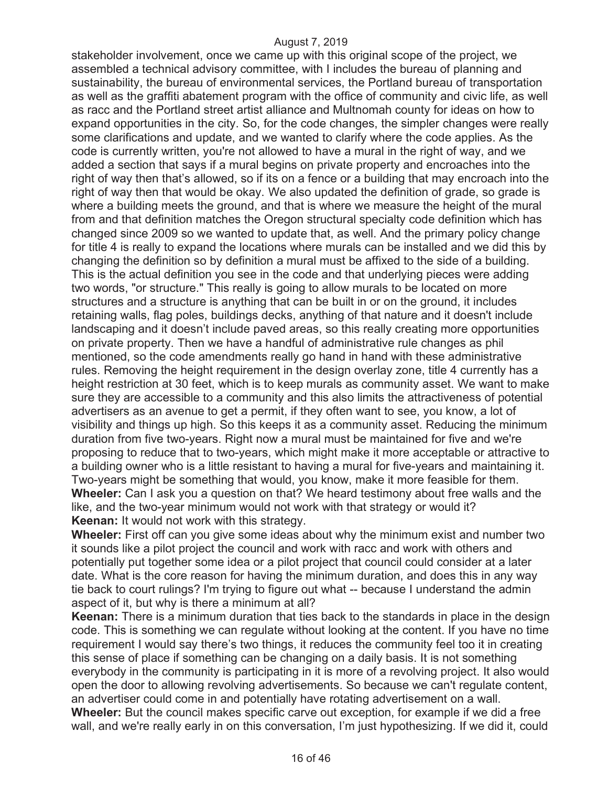stakeholder involvement, once we came up with this original scope of the project, we assembled a technical advisory committee, with I includes the bureau of planning and sustainability, the bureau of environmental services, the Portland bureau of transportation as well as the graffiti abatement program with the office of community and civic life, as well as racc and the Portland street artist alliance and Multnomah county for ideas on how to expand opportunities in the city. So, for the code changes, the simpler changes were really some clarifications and update, and we wanted to clarify where the code applies. As the code is currently written, you're not allowed to have a mural in the right of way, and we added a section that says if a mural begins on private property and encroaches into the right of way then that's allowed, so if its on a fence or a building that may encroach into the right of way then that would be okay. We also updated the definition of grade, so grade is where a building meets the ground, and that is where we measure the height of the mural from and that definition matches the Oregon structural specialty code definition which has changed since 2009 so we wanted to update that, as well. And the primary policy change for title 4 is really to expand the locations where murals can be installed and we did this by changing the definition so by definition a mural must be affixed to the side of a building. This is the actual definition you see in the code and that underlying pieces were adding two words, "or structure." This really is going to allow murals to be located on more structures and a structure is anything that can be built in or on the ground, it includes retaining walls, flag poles, buildings decks, anything of that nature and it doesn't include landscaping and it doesn't include paved areas, so this really creating more opportunities on private property. Then we have a handful of administrative rule changes as phil mentioned, so the code amendments really go hand in hand with these administrative rules. Removing the height requirement in the design overlay zone, title 4 currently has a height restriction at 30 feet, which is to keep murals as community asset. We want to make sure they are accessible to a community and this also limits the attractiveness of potential advertisers as an avenue to get a permit, if they often want to see, you know, a lot of visibility and things up high. So this keeps it as a community asset. Reducing the minimum duration from five two-years. Right now a mural must be maintained for five and we're proposing to reduce that to two-years, which might make it more acceptable or attractive to a building owner who is a little resistant to having a mural for five-years and maintaining it. Two-years might be something that would, you know, make it more feasible for them. **Wheeler:** Can I ask you a question on that? We heard testimony about free walls and the like, and the two-year minimum would not work with that strategy or would it? **Keenan:** It would not work with this strategy.

**Wheeler:** First off can you give some ideas about why the minimum exist and number two it sounds like a pilot project the council and work with racc and work with others and potentially put together some idea or a pilot project that council could consider at a later date. What is the core reason for having the minimum duration, and does this in any way tie back to court rulings? I'm trying to figure out what -- because I understand the admin aspect of it, but why is there a minimum at all?

**Keenan:** There is a minimum duration that ties back to the standards in place in the design code. This is something we can regulate without looking at the content. If you have no time requirement I would say there's two things, it reduces the community feel too it in creating this sense of place if something can be changing on a daily basis. It is not something everybody in the community is participating in it is more of a revolving project. It also would open the door to allowing revolving advertisements. So because we can't regulate content, an advertiser could come in and potentially have rotating advertisement on a wall. **Wheeler:** But the council makes specific carve out exception, for example if we did a free wall, and we're really early in on this conversation, I'm just hypothesizing. If we did it, could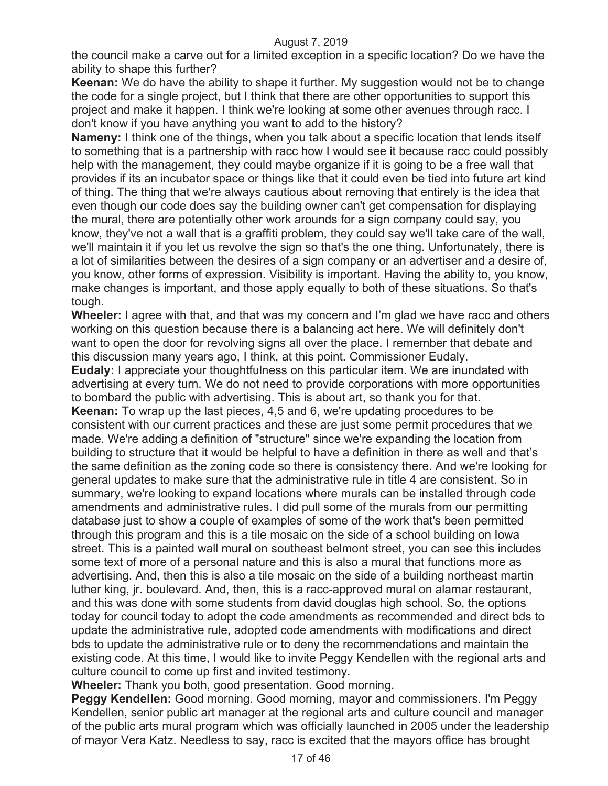the council make a carve out for a limited exception in a specific location? Do we have the ability to shape this further?

**Keenan:** We do have the ability to shape it further. My suggestion would not be to change the code for a single project, but I think that there are other opportunities to support this project and make it happen. I think we're looking at some other avenues through racc. I don't know if you have anything you want to add to the history?

**Nameny:** I think one of the things, when you talk about a specific location that lends itself to something that is a partnership with racc how I would see it because racc could possibly help with the management, they could maybe organize if it is going to be a free wall that provides if its an incubator space or things like that it could even be tied into future art kind of thing. The thing that we're always cautious about removing that entirely is the idea that even though our code does say the building owner can't get compensation for displaying the mural, there are potentially other work arounds for a sign company could say, you know, they've not a wall that is a graffiti problem, they could say we'll take care of the wall, we'll maintain it if you let us revolve the sign so that's the one thing. Unfortunately, there is a lot of similarities between the desires of a sign company or an advertiser and a desire of, you know, other forms of expression. Visibility is important. Having the ability to, you know, make changes is important, and those apply equally to both of these situations. So that's tough.

**Wheeler:** I agree with that, and that was my concern and I'm glad we have racc and others working on this question because there is a balancing act here. We will definitely don't want to open the door for revolving signs all over the place. I remember that debate and this discussion many years ago, I think, at this point. Commissioner Eudaly. **Eudaly:** I appreciate your thoughtfulness on this particular item. We are inundated with

advertising at every turn. We do not need to provide corporations with more opportunities to bombard the public with advertising. This is about art, so thank you for that.

**Keenan:** To wrap up the last pieces, 4,5 and 6, we're updating procedures to be consistent with our current practices and these are just some permit procedures that we made. We're adding a definition of "structure" since we're expanding the location from building to structure that it would be helpful to have a definition in there as well and that's the same definition as the zoning code so there is consistency there. And we're looking for general updates to make sure that the administrative rule in title 4 are consistent. So in summary, we're looking to expand locations where murals can be installed through code amendments and administrative rules. I did pull some of the murals from our permitting database just to show a couple of examples of some of the work that's been permitted through this program and this is a tile mosaic on the side of a school building on Iowa street. This is a painted wall mural on southeast belmont street, you can see this includes some text of more of a personal nature and this is also a mural that functions more as advertising. And, then this is also a tile mosaic on the side of a building northeast martin luther king, jr. boulevard. And, then, this is a racc-approved mural on alamar restaurant, and this was done with some students from david douglas high school. So, the options today for council today to adopt the code amendments as recommended and direct bds to update the administrative rule, adopted code amendments with modifications and direct bds to update the administrative rule or to deny the recommendations and maintain the existing code. At this time, I would like to invite Peggy Kendellen with the regional arts and culture council to come up first and invited testimony.

**Wheeler:** Thank you both, good presentation. Good morning.

**Peggy Kendellen:** Good morning. Good morning, mayor and commissioners. I'm Peggy Kendellen, senior public art manager at the regional arts and culture council and manager of the public arts mural program which was officially launched in 2005 under the leadership of mayor Vera Katz. Needless to say, racc is excited that the mayors office has brought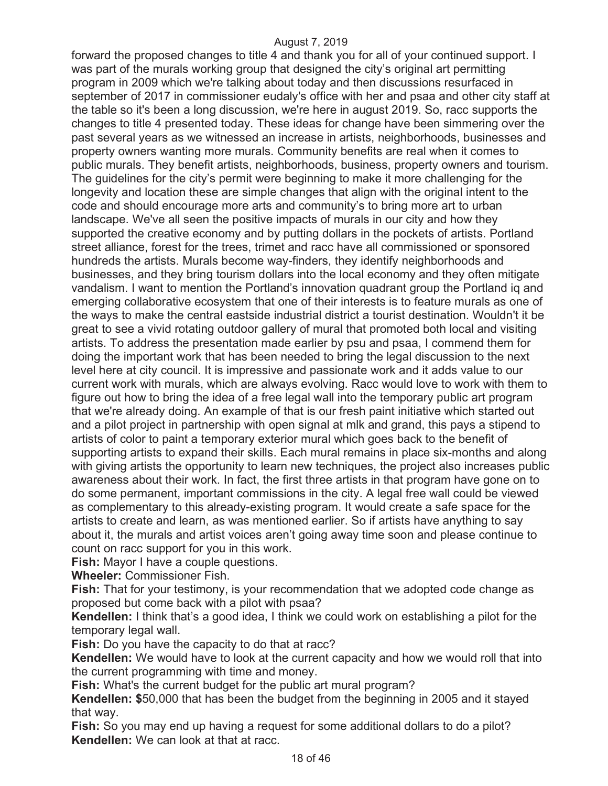forward the proposed changes to title 4 and thank you for all of your continued support. I was part of the murals working group that designed the city's original art permitting program in 2009 which we're talking about today and then discussions resurfaced in september of 2017 in commissioner eudaly's office with her and psaa and other city staff at the table so it's been a long discussion, we're here in august 2019. So, racc supports the changes to title 4 presented today. These ideas for change have been simmering over the past several years as we witnessed an increase in artists, neighborhoods, businesses and property owners wanting more murals. Community benefits are real when it comes to public murals. They benefit artists, neighborhoods, business, property owners and tourism. The guidelines for the city's permit were beginning to make it more challenging for the longevity and location these are simple changes that align with the original intent to the code and should encourage more arts and community's to bring more art to urban landscape. We've all seen the positive impacts of murals in our city and how they supported the creative economy and by putting dollars in the pockets of artists. Portland street alliance, forest for the trees, trimet and racc have all commissioned or sponsored hundreds the artists. Murals become way-finders, they identify neighborhoods and businesses, and they bring tourism dollars into the local economy and they often mitigate vandalism. I want to mention the Portland's innovation quadrant group the Portland iq and emerging collaborative ecosystem that one of their interests is to feature murals as one of the ways to make the central eastside industrial district a tourist destination. Wouldn't it be great to see a vivid rotating outdoor gallery of mural that promoted both local and visiting artists. To address the presentation made earlier by psu and psaa, I commend them for doing the important work that has been needed to bring the legal discussion to the next level here at city council. It is impressive and passionate work and it adds value to our current work with murals, which are always evolving. Racc would love to work with them to figure out how to bring the idea of a free legal wall into the temporary public art program that we're already doing. An example of that is our fresh paint initiative which started out and a pilot project in partnership with open signal at mlk and grand, this pays a stipend to artists of color to paint a temporary exterior mural which goes back to the benefit of supporting artists to expand their skills. Each mural remains in place six-months and along with giving artists the opportunity to learn new techniques, the project also increases public awareness about their work. In fact, the first three artists in that program have gone on to do some permanent, important commissions in the city. A legal free wall could be viewed as complementary to this already-existing program. It would create a safe space for the artists to create and learn, as was mentioned earlier. So if artists have anything to say about it, the murals and artist voices aren't going away time soon and please continue to count on racc support for you in this work.

**Fish:** Mayor I have a couple questions.

**Wheeler:** Commissioner Fish.

**Fish:** That for your testimony, is your recommendation that we adopted code change as proposed but come back with a pilot with psaa?

**Kendellen:** I think that's a good idea, I think we could work on establishing a pilot for the temporary legal wall.

**Fish:** Do you have the capacity to do that at racc?

**Kendellen:** We would have to look at the current capacity and how we would roll that into the current programming with time and money.

**Fish:** What's the current budget for the public art mural program?

**Kendellen: \$**50,000 that has been the budget from the beginning in 2005 and it stayed that way.

**Fish:** So you may end up having a request for some additional dollars to do a pilot? **Kendellen:** We can look at that at racc.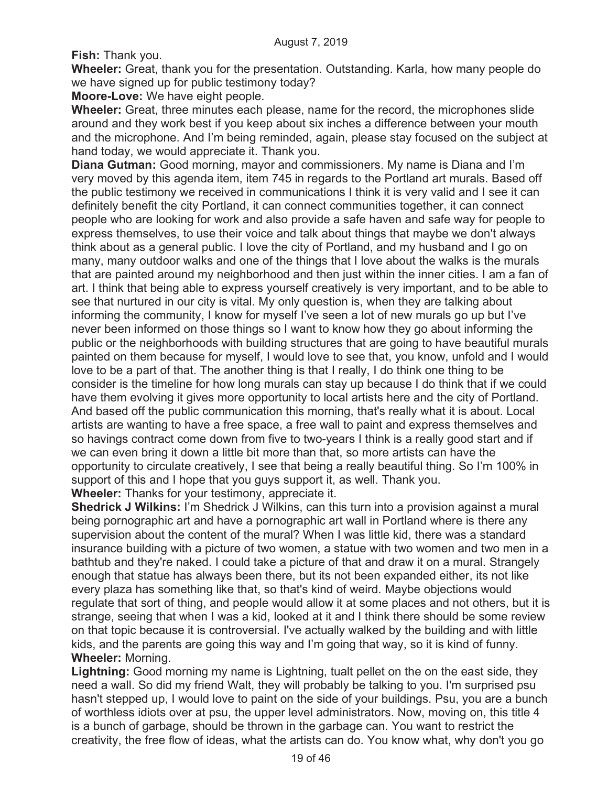**Fish:** Thank you.

**Wheeler:** Great, thank you for the presentation. Outstanding. Karla, how many people do we have signed up for public testimony today?

**Moore-Love:** We have eight people.

**Wheeler:** Great, three minutes each please, name for the record, the microphones slide around and they work best if you keep about six inches a difference between your mouth and the microphone. And I'm being reminded, again, please stay focused on the subject at hand today, we would appreciate it. Thank you.

**Diana Gutman:** Good morning, mayor and commissioners. My name is Diana and I'm very moved by this agenda item, item 745 in regards to the Portland art murals. Based off the public testimony we received in communications I think it is very valid and I see it can definitely benefit the city Portland, it can connect communities together, it can connect people who are looking for work and also provide a safe haven and safe way for people to express themselves, to use their voice and talk about things that maybe we don't always think about as a general public. I love the city of Portland, and my husband and I go on many, many outdoor walks and one of the things that I love about the walks is the murals that are painted around my neighborhood and then just within the inner cities. I am a fan of art. I think that being able to express yourself creatively is very important, and to be able to see that nurtured in our city is vital. My only question is, when they are talking about informing the community, I know for myself I've seen a lot of new murals go up but I've never been informed on those things so I want to know how they go about informing the public or the neighborhoods with building structures that are going to have beautiful murals painted on them because for myself, I would love to see that, you know, unfold and I would love to be a part of that. The another thing is that I really, I do think one thing to be consider is the timeline for how long murals can stay up because I do think that if we could have them evolving it gives more opportunity to local artists here and the city of Portland. And based off the public communication this morning, that's really what it is about. Local artists are wanting to have a free space, a free wall to paint and express themselves and so havings contract come down from five to two-years I think is a really good start and if we can even bring it down a little bit more than that, so more artists can have the opportunity to circulate creatively, I see that being a really beautiful thing. So I'm 100% in support of this and I hope that you guys support it, as well. Thank you.

**Wheeler:** Thanks for your testimony, appreciate it.

**Shedrick J Wilkins:** I'm Shedrick J Wilkins, can this turn into a provision against a mural being pornographic art and have a pornographic art wall in Portland where is there any supervision about the content of the mural? When I was little kid, there was a standard insurance building with a picture of two women, a statue with two women and two men in a bathtub and they're naked. I could take a picture of that and draw it on a mural. Strangely enough that statue has always been there, but its not been expanded either, its not like every plaza has something like that, so that's kind of weird. Maybe objections would regulate that sort of thing, and people would allow it at some places and not others, but it is strange, seeing that when I was a kid, looked at it and I think there should be some review on that topic because it is controversial. I've actually walked by the building and with little kids, and the parents are going this way and I'm going that way, so it is kind of funny. **Wheeler:** Morning.

**Lightning:** Good morning my name is Lightning, tualt pellet on the on the east side, they need a wall. So did my friend Walt, they will probably be talking to you. I'm surprised psu hasn't stepped up, I would love to paint on the side of your buildings. Psu, you are a bunch of worthless idiots over at psu, the upper level administrators. Now, moving on, this title 4 is a bunch of garbage, should be thrown in the garbage can. You want to restrict the creativity, the free flow of ideas, what the artists can do. You know what, why don't you go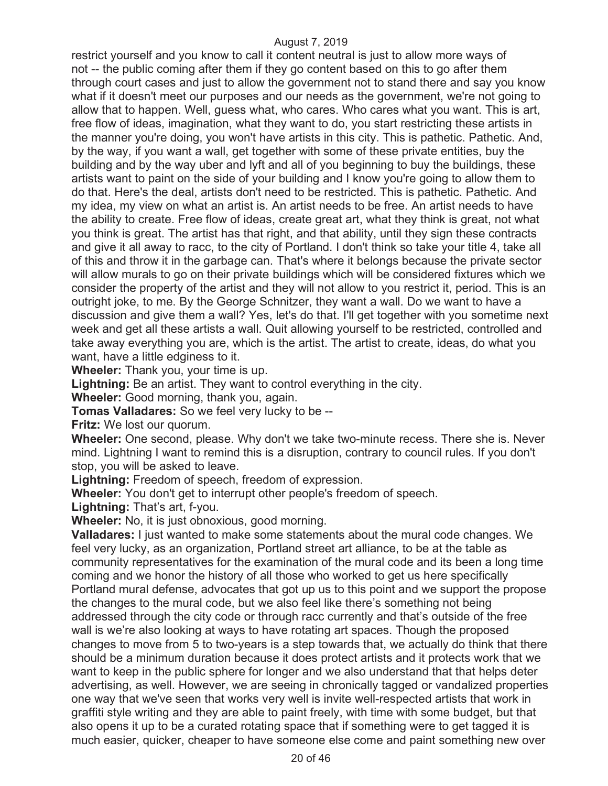restrict yourself and you know to call it content neutral is just to allow more ways of not -- the public coming after them if they go content based on this to go after them through court cases and just to allow the government not to stand there and say you know what if it doesn't meet our purposes and our needs as the government, we're not going to allow that to happen. Well, guess what, who cares. Who cares what you want. This is art, free flow of ideas, imagination, what they want to do, you start restricting these artists in the manner you're doing, you won't have artists in this city. This is pathetic. Pathetic. And, by the way, if you want a wall, get together with some of these private entities, buy the building and by the way uber and lyft and all of you beginning to buy the buildings, these artists want to paint on the side of your building and I know you're going to allow them to do that. Here's the deal, artists don't need to be restricted. This is pathetic. Pathetic. And my idea, my view on what an artist is. An artist needs to be free. An artist needs to have the ability to create. Free flow of ideas, create great art, what they think is great, not what you think is great. The artist has that right, and that ability, until they sign these contracts and give it all away to racc, to the city of Portland. I don't think so take your title 4, take all of this and throw it in the garbage can. That's where it belongs because the private sector will allow murals to go on their private buildings which will be considered fixtures which we consider the property of the artist and they will not allow to you restrict it, period. This is an outright joke, to me. By the George Schnitzer, they want a wall. Do we want to have a discussion and give them a wall? Yes, let's do that. I'll get together with you sometime next week and get all these artists a wall. Quit allowing yourself to be restricted, controlled and take away everything you are, which is the artist. The artist to create, ideas, do what you want, have a little edginess to it.

**Wheeler:** Thank you, your time is up.

**Lightning:** Be an artist. They want to control everything in the city.

**Wheeler:** Good morning, thank you, again.

**Tomas Valladares:** So we feel very lucky to be --

**Fritz:** We lost our quorum.

**Wheeler:** One second, please. Why don't we take two-minute recess. There she is. Never mind. Lightning I want to remind this is a disruption, contrary to council rules. If you don't stop, you will be asked to leave.

**Lightning:** Freedom of speech, freedom of expression.

**Wheeler:** You don't get to interrupt other people's freedom of speech.

**Lightning:** That's art, f-you.

**Wheeler:** No, it is just obnoxious, good morning.

**Valladares:** I just wanted to make some statements about the mural code changes. We feel very lucky, as an organization, Portland street art alliance, to be at the table as community representatives for the examination of the mural code and its been a long time coming and we honor the history of all those who worked to get us here specifically Portland mural defense, advocates that got up us to this point and we support the propose the changes to the mural code, but we also feel like there's something not being addressed through the city code or through racc currently and that's outside of the free wall is we're also looking at ways to have rotating art spaces. Though the proposed changes to move from 5 to two-years is a step towards that, we actually do think that there should be a minimum duration because it does protect artists and it protects work that we want to keep in the public sphere for longer and we also understand that that helps deter advertising, as well. However, we are seeing in chronically tagged or vandalized properties one way that we've seen that works very well is invite well-respected artists that work in graffiti style writing and they are able to paint freely, with time with some budget, but that also opens it up to be a curated rotating space that if something were to get tagged it is much easier, quicker, cheaper to have someone else come and paint something new over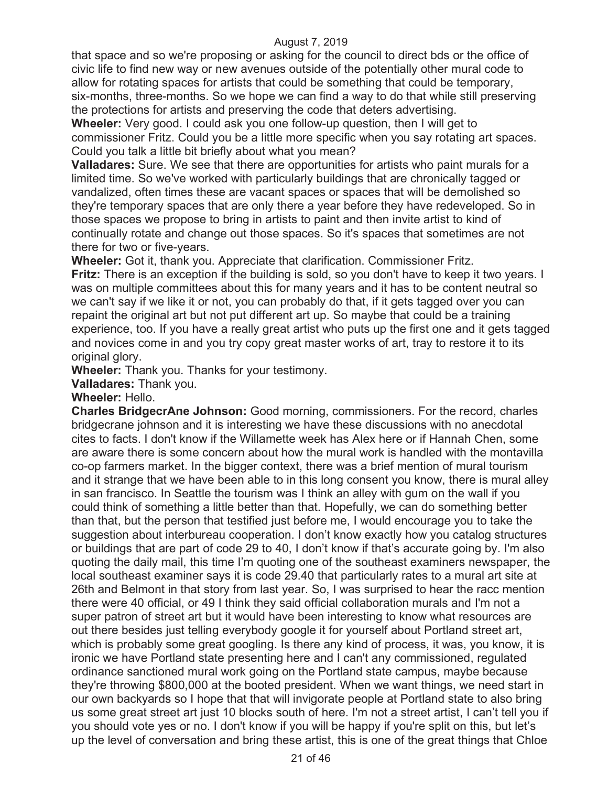that space and so we're proposing or asking for the council to direct bds or the office of civic life to find new way or new avenues outside of the potentially other mural code to allow for rotating spaces for artists that could be something that could be temporary, six-months, three-months. So we hope we can find a way to do that while still preserving the protections for artists and preserving the code that deters advertising.

**Wheeler:** Very good. I could ask you one follow-up question, then I will get to commissioner Fritz. Could you be a little more specific when you say rotating art spaces. Could you talk a little bit briefly about what you mean?

**Valladares:** Sure. We see that there are opportunities for artists who paint murals for a limited time. So we've worked with particularly buildings that are chronically tagged or vandalized, often times these are vacant spaces or spaces that will be demolished so they're temporary spaces that are only there a year before they have redeveloped. So in those spaces we propose to bring in artists to paint and then invite artist to kind of continually rotate and change out those spaces. So it's spaces that sometimes are not there for two or five-years.

**Wheeler:** Got it, thank you. Appreciate that clarification. Commissioner Fritz. **Fritz:** There is an exception if the building is sold, so you don't have to keep it two years. I was on multiple committees about this for many years and it has to be content neutral so we can't say if we like it or not, you can probably do that, if it gets tagged over you can repaint the original art but not put different art up. So maybe that could be a training experience, too. If you have a really great artist who puts up the first one and it gets tagged and novices come in and you try copy great master works of art, tray to restore it to its original glory.

**Wheeler:** Thank you. Thanks for your testimony.

**Valladares:** Thank you.

#### **Wheeler:** Hello.

**Charles BridgecrAne Johnson:** Good morning, commissioners. For the record, charles bridgecrane johnson and it is interesting we have these discussions with no anecdotal cites to facts. I don't know if the Willamette week has Alex here or if Hannah Chen, some are aware there is some concern about how the mural work is handled with the montavilla co-op farmers market. In the bigger context, there was a brief mention of mural tourism and it strange that we have been able to in this long consent you know, there is mural alley in san francisco. In Seattle the tourism was I think an alley with gum on the wall if you could think of something a little better than that. Hopefully, we can do something better than that, but the person that testified just before me, I would encourage you to take the suggestion about interbureau cooperation. I don't know exactly how you catalog structures or buildings that are part of code 29 to 40, I don't know if that's accurate going by. I'm also quoting the daily mail, this time I'm quoting one of the southeast examiners newspaper, the local southeast examiner says it is code 29.40 that particularly rates to a mural art site at 26th and Belmont in that story from last year. So, I was surprised to hear the racc mention there were 40 official, or 49 I think they said official collaboration murals and I'm not a super patron of street art but it would have been interesting to know what resources are out there besides just telling everybody google it for yourself about Portland street art, which is probably some great googling. Is there any kind of process, it was, you know, it is ironic we have Portland state presenting here and I can't any commissioned, regulated ordinance sanctioned mural work going on the Portland state campus, maybe because they're throwing \$800,000 at the booted president. When we want things, we need start in our own backyards so I hope that that will invigorate people at Portland state to also bring us some great street art just 10 blocks south of here. I'm not a street artist, I can't tell you if you should vote yes or no. I don't know if you will be happy if you're split on this, but let's up the level of conversation and bring these artist, this is one of the great things that Chloe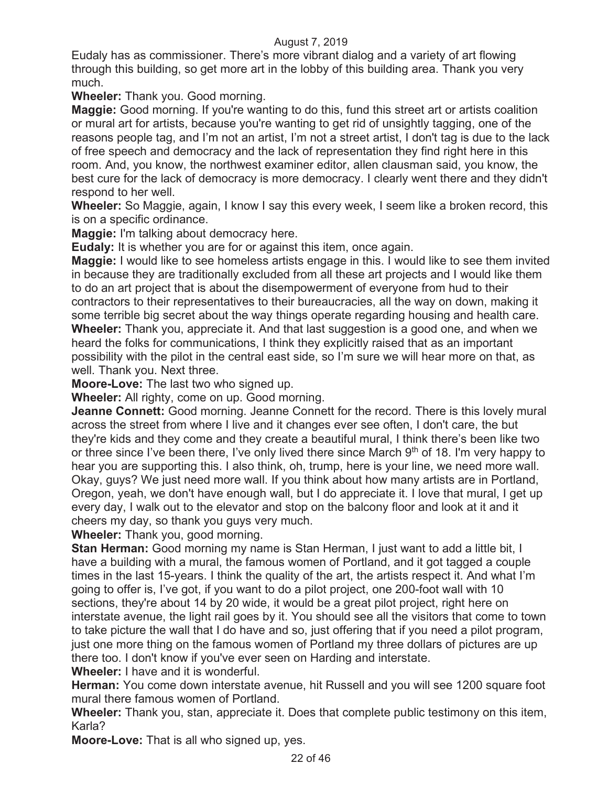Eudaly has as commissioner. There's more vibrant dialog and a variety of art flowing through this building, so get more art in the lobby of this building area. Thank you very much.

**Wheeler:** Thank you. Good morning.

**Maggie:** Good morning. If you're wanting to do this, fund this street art or artists coalition or mural art for artists, because you're wanting to get rid of unsightly tagging, one of the reasons people tag, and I'm not an artist, I'm not a street artist, I don't tag is due to the lack of free speech and democracy and the lack of representation they find right here in this room. And, you know, the northwest examiner editor, allen clausman said, you know, the best cure for the lack of democracy is more democracy. I clearly went there and they didn't respond to her well.

**Wheeler:** So Maggie, again, I know I say this every week, I seem like a broken record, this is on a specific ordinance.

**Maggie:** I'm talking about democracy here.

**Eudaly:** It is whether you are for or against this item, once again.

**Maggie:** I would like to see homeless artists engage in this. I would like to see them invited in because they are traditionally excluded from all these art projects and I would like them to do an art project that is about the disempowerment of everyone from hud to their contractors to their representatives to their bureaucracies, all the way on down, making it some terrible big secret about the way things operate regarding housing and health care. **Wheeler:** Thank you, appreciate it. And that last suggestion is a good one, and when we heard the folks for communications, I think they explicitly raised that as an important possibility with the pilot in the central east side, so I'm sure we will hear more on that, as well. Thank you. Next three.

**Moore-Love:** The last two who signed up.

**Wheeler:** All righty, come on up. Good morning.

**Jeanne Connett:** Good morning. Jeanne Connett for the record. There is this lovely mural across the street from where I live and it changes ever see often, I don't care, the but they're kids and they come and they create a beautiful mural, I think there's been like two or three since I've been there, I've only lived there since March  $9<sup>th</sup>$  of 18. I'm very happy to hear you are supporting this. I also think, oh, trump, here is your line, we need more wall. Okay, guys? We just need more wall. If you think about how many artists are in Portland, Oregon, yeah, we don't have enough wall, but I do appreciate it. I love that mural, I get up every day, I walk out to the elevator and stop on the balcony floor and look at it and it cheers my day, so thank you guys very much.

**Wheeler:** Thank you, good morning.

**Stan Herman:** Good morning my name is Stan Herman, I just want to add a little bit, I have a building with a mural, the famous women of Portland, and it got tagged a couple times in the last 15-years. I think the quality of the art, the artists respect it. And what I'm going to offer is, I've got, if you want to do a pilot project, one 200-foot wall with 10 sections, they're about 14 by 20 wide, it would be a great pilot project, right here on interstate avenue, the light rail goes by it. You should see all the visitors that come to town to take picture the wall that I do have and so, just offering that if you need a pilot program, just one more thing on the famous women of Portland my three dollars of pictures are up there too. I don't know if you've ever seen on Harding and interstate.

**Wheeler:** I have and it is wonderful.

**Herman:** You come down interstate avenue, hit Russell and you will see 1200 square foot mural there famous women of Portland.

**Wheeler:** Thank you, stan, appreciate it. Does that complete public testimony on this item, Karla?

**Moore-Love:** That is all who signed up, yes.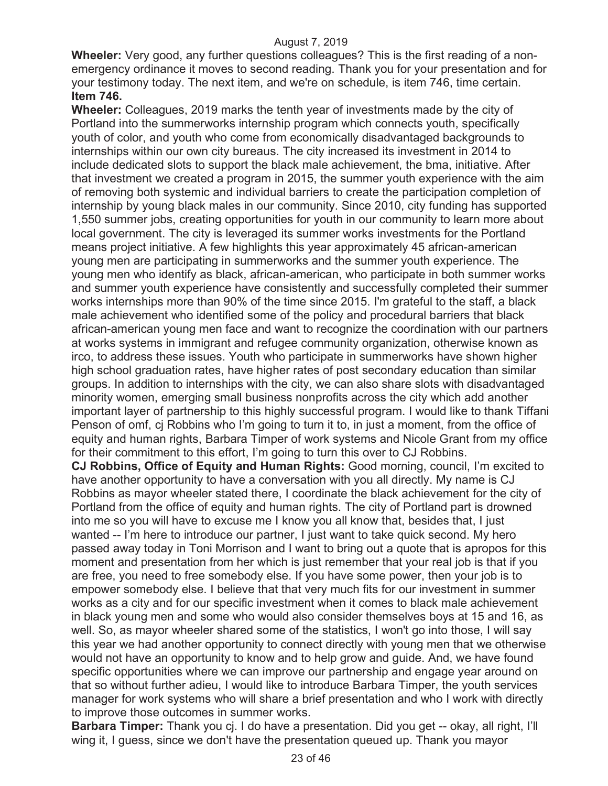**Wheeler:** Very good, any further questions colleagues? This is the first reading of a nonemergency ordinance it moves to second reading. Thank you for your presentation and for your testimony today. The next item, and we're on schedule, is item 746, time certain. **Item 746.** 

**Wheeler:** Colleagues, 2019 marks the tenth year of investments made by the city of Portland into the summerworks internship program which connects youth, specifically youth of color, and youth who come from economically disadvantaged backgrounds to internships within our own city bureaus. The city increased its investment in 2014 to include dedicated slots to support the black male achievement, the bma, initiative. After that investment we created a program in 2015, the summer youth experience with the aim of removing both systemic and individual barriers to create the participation completion of internship by young black males in our community. Since 2010, city funding has supported 1,550 summer jobs, creating opportunities for youth in our community to learn more about local government. The city is leveraged its summer works investments for the Portland means project initiative. A few highlights this year approximately 45 african-american young men are participating in summerworks and the summer youth experience. The young men who identify as black, african-american, who participate in both summer works and summer youth experience have consistently and successfully completed their summer works internships more than 90% of the time since 2015. I'm grateful to the staff, a black male achievement who identified some of the policy and procedural barriers that black african-american young men face and want to recognize the coordination with our partners at works systems in immigrant and refugee community organization, otherwise known as irco, to address these issues. Youth who participate in summerworks have shown higher high school graduation rates, have higher rates of post secondary education than similar groups. In addition to internships with the city, we can also share slots with disadvantaged minority women, emerging small business nonprofits across the city which add another important layer of partnership to this highly successful program. I would like to thank Tiffani Penson of omf, cj Robbins who I'm going to turn it to, in just a moment, from the office of equity and human rights, Barbara Timper of work systems and Nicole Grant from my office for their commitment to this effort, I'm going to turn this over to CJ Robbins.

**CJ Robbins, Office of Equity and Human Rights:** Good morning, council, I'm excited to have another opportunity to have a conversation with you all directly. My name is CJ Robbins as mayor wheeler stated there, I coordinate the black achievement for the city of Portland from the office of equity and human rights. The city of Portland part is drowned into me so you will have to excuse me I know you all know that, besides that, I just wanted -- I'm here to introduce our partner, I just want to take quick second. My hero passed away today in Toni Morrison and I want to bring out a quote that is apropos for this moment and presentation from her which is just remember that your real job is that if you are free, you need to free somebody else. If you have some power, then your job is to empower somebody else. I believe that that very much fits for our investment in summer works as a city and for our specific investment when it comes to black male achievement in black young men and some who would also consider themselves boys at 15 and 16, as well. So, as mayor wheeler shared some of the statistics, I won't go into those, I will say this year we had another opportunity to connect directly with young men that we otherwise would not have an opportunity to know and to help grow and guide. And, we have found specific opportunities where we can improve our partnership and engage year around on that so without further adieu, I would like to introduce Barbara Timper, the youth services manager for work systems who will share a brief presentation and who I work with directly to improve those outcomes in summer works.

**Barbara Timper:** Thank you cj. I do have a presentation. Did you get -- okay, all right, I'll wing it, I guess, since we don't have the presentation queued up. Thank you mayor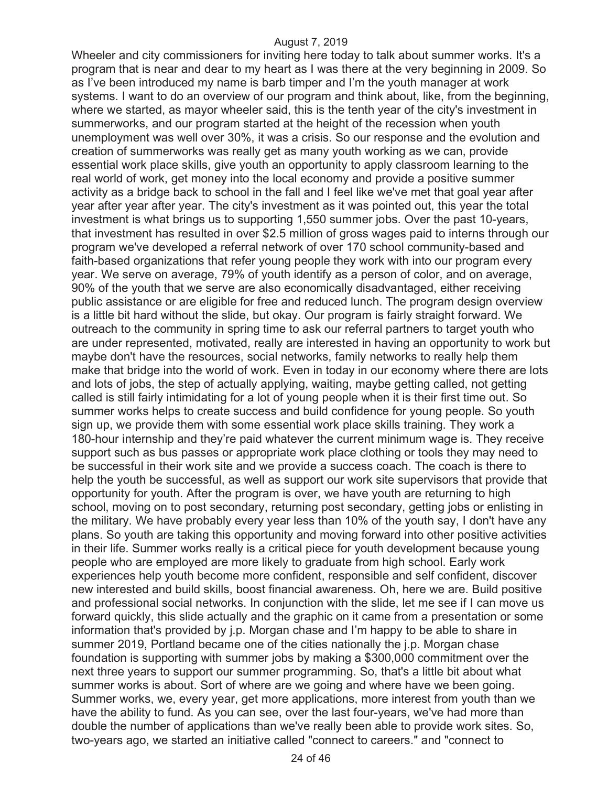Wheeler and city commissioners for inviting here today to talk about summer works. It's a program that is near and dear to my heart as I was there at the very beginning in 2009. So as I've been introduced my name is barb timper and I'm the youth manager at work systems. I want to do an overview of our program and think about, like, from the beginning, where we started, as mayor wheeler said, this is the tenth year of the city's investment in summerworks, and our program started at the height of the recession when youth unemployment was well over 30%, it was a crisis. So our response and the evolution and creation of summerworks was really get as many youth working as we can, provide essential work place skills, give youth an opportunity to apply classroom learning to the real world of work, get money into the local economy and provide a positive summer activity as a bridge back to school in the fall and I feel like we've met that goal year after year after year after year. The city's investment as it was pointed out, this year the total investment is what brings us to supporting 1,550 summer jobs. Over the past 10-years, that investment has resulted in over \$2.5 million of gross wages paid to interns through our program we've developed a referral network of over 170 school community-based and faith-based organizations that refer young people they work with into our program every year. We serve on average, 79% of youth identify as a person of color, and on average, 90% of the youth that we serve are also economically disadvantaged, either receiving public assistance or are eligible for free and reduced lunch. The program design overview is a little bit hard without the slide, but okay. Our program is fairly straight forward. We outreach to the community in spring time to ask our referral partners to target youth who are under represented, motivated, really are interested in having an opportunity to work but maybe don't have the resources, social networks, family networks to really help them make that bridge into the world of work. Even in today in our economy where there are lots and lots of jobs, the step of actually applying, waiting, maybe getting called, not getting called is still fairly intimidating for a lot of young people when it is their first time out. So summer works helps to create success and build confidence for young people. So youth sign up, we provide them with some essential work place skills training. They work a 180-hour internship and they're paid whatever the current minimum wage is. They receive support such as bus passes or appropriate work place clothing or tools they may need to be successful in their work site and we provide a success coach. The coach is there to help the youth be successful, as well as support our work site supervisors that provide that opportunity for youth. After the program is over, we have youth are returning to high school, moving on to post secondary, returning post secondary, getting jobs or enlisting in the military. We have probably every year less than 10% of the youth say, I don't have any plans. So youth are taking this opportunity and moving forward into other positive activities in their life. Summer works really is a critical piece for youth development because young people who are employed are more likely to graduate from high school. Early work experiences help youth become more confident, responsible and self confident, discover new interested and build skills, boost financial awareness. Oh, here we are. Build positive and professional social networks. In conjunction with the slide, let me see if I can move us forward quickly, this slide actually and the graphic on it came from a presentation or some information that's provided by j.p. Morgan chase and I'm happy to be able to share in summer 2019, Portland became one of the cities nationally the j.p. Morgan chase foundation is supporting with summer jobs by making a \$300,000 commitment over the next three years to support our summer programming. So, that's a little bit about what summer works is about. Sort of where are we going and where have we been going. Summer works, we, every year, get more applications, more interest from youth than we have the ability to fund. As you can see, over the last four-years, we've had more than double the number of applications than we've really been able to provide work sites. So, two-years ago, we started an initiative called "connect to careers." and "connect to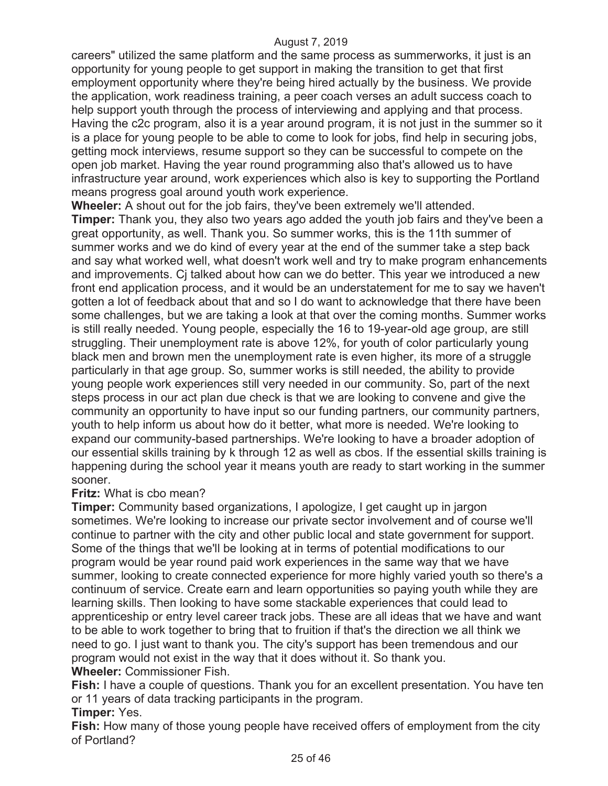careers" utilized the same platform and the same process as summerworks, it just is an opportunity for young people to get support in making the transition to get that first employment opportunity where they're being hired actually by the business. We provide the application, work readiness training, a peer coach verses an adult success coach to help support youth through the process of interviewing and applying and that process. Having the c2c program, also it is a year around program, it is not just in the summer so it is a place for young people to be able to come to look for jobs, find help in securing jobs, getting mock interviews, resume support so they can be successful to compete on the open job market. Having the year round programming also that's allowed us to have infrastructure year around, work experiences which also is key to supporting the Portland means progress goal around youth work experience.

**Wheeler:** A shout out for the job fairs, they've been extremely we'll attended. **Timper:** Thank you, they also two years ago added the youth job fairs and they've been a great opportunity, as well. Thank you. So summer works, this is the 11th summer of summer works and we do kind of every year at the end of the summer take a step back and say what worked well, what doesn't work well and try to make program enhancements and improvements. Cj talked about how can we do better. This year we introduced a new front end application process, and it would be an understatement for me to say we haven't gotten a lot of feedback about that and so I do want to acknowledge that there have been some challenges, but we are taking a look at that over the coming months. Summer works is still really needed. Young people, especially the 16 to 19-year-old age group, are still struggling. Their unemployment rate is above 12%, for youth of color particularly young black men and brown men the unemployment rate is even higher, its more of a struggle particularly in that age group. So, summer works is still needed, the ability to provide young people work experiences still very needed in our community. So, part of the next steps process in our act plan due check is that we are looking to convene and give the community an opportunity to have input so our funding partners, our community partners, youth to help inform us about how do it better, what more is needed. We're looking to expand our community-based partnerships. We're looking to have a broader adoption of our essential skills training by k through 12 as well as cbos. If the essential skills training is happening during the school year it means youth are ready to start working in the summer sooner.

#### **Fritz:** What is cbo mean?

**Timper:** Community based organizations, I apologize, I get caught up in jargon sometimes. We're looking to increase our private sector involvement and of course we'll continue to partner with the city and other public local and state government for support. Some of the things that we'll be looking at in terms of potential modifications to our program would be year round paid work experiences in the same way that we have summer, looking to create connected experience for more highly varied youth so there's a continuum of service. Create earn and learn opportunities so paying youth while they are learning skills. Then looking to have some stackable experiences that could lead to apprenticeship or entry level career track jobs. These are all ideas that we have and want to be able to work together to bring that to fruition if that's the direction we all think we need to go. I just want to thank you. The city's support has been tremendous and our program would not exist in the way that it does without it. So thank you. **Wheeler:** Commissioner Fish.

**Fish:** I have a couple of questions. Thank you for an excellent presentation. You have ten or 11 years of data tracking participants in the program.

## **Timper:** Yes.

**Fish:** How many of those young people have received offers of employment from the city of Portland?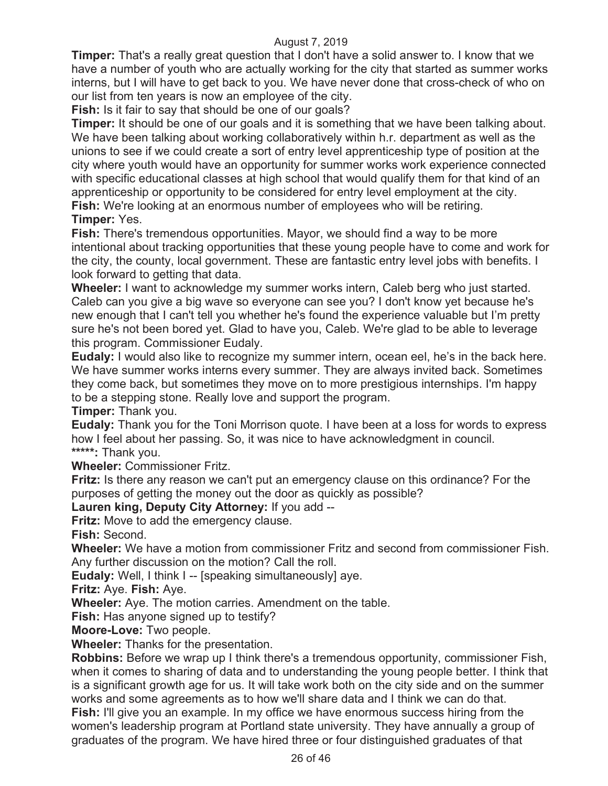**Timper:** That's a really great question that I don't have a solid answer to. I know that we have a number of youth who are actually working for the city that started as summer works interns, but I will have to get back to you. We have never done that cross-check of who on our list from ten years is now an employee of the city.

**Fish:** Is it fair to say that should be one of our goals?

**Timper:** It should be one of our goals and it is something that we have been talking about. We have been talking about working collaboratively within h.r. department as well as the unions to see if we could create a sort of entry level apprenticeship type of position at the city where youth would have an opportunity for summer works work experience connected with specific educational classes at high school that would qualify them for that kind of an apprenticeship or opportunity to be considered for entry level employment at the city. **Fish:** We're looking at an enormous number of employees who will be retiring.

#### **Timper:** Yes.

**Fish:** There's tremendous opportunities. Mayor, we should find a way to be more intentional about tracking opportunities that these young people have to come and work for the city, the county, local government. These are fantastic entry level jobs with benefits. I look forward to getting that data.

**Wheeler:** I want to acknowledge my summer works intern, Caleb berg who just started. Caleb can you give a big wave so everyone can see you? I don't know yet because he's new enough that I can't tell you whether he's found the experience valuable but I'm pretty sure he's not been bored yet. Glad to have you, Caleb. We're glad to be able to leverage this program. Commissioner Eudaly.

**Eudaly:** I would also like to recognize my summer intern, ocean eel, he's in the back here. We have summer works interns every summer. They are always invited back. Sometimes they come back, but sometimes they move on to more prestigious internships. I'm happy to be a stepping stone. Really love and support the program.

**Timper:** Thank you.

**Eudaly:** Thank you for the Toni Morrison quote. I have been at a loss for words to express how I feel about her passing. So, it was nice to have acknowledgment in council. **\*\*\*\*\*:** Thank you.

**Wheeler:** Commissioner Fritz.

**Fritz:** Is there any reason we can't put an emergency clause on this ordinance? For the purposes of getting the money out the door as quickly as possible?

**Lauren king, Deputy City Attorney:** If you add --

**Fritz:** Move to add the emergency clause.

**Fish:** Second.

**Wheeler:** We have a motion from commissioner Fritz and second from commissioner Fish. Any further discussion on the motion? Call the roll.

**Eudaly:** Well, I think I -- [speaking simultaneously] aye.

**Fritz:** Aye. **Fish:** Aye.

**Wheeler:** Aye. The motion carries. Amendment on the table.

**Fish:** Has anyone signed up to testify?

**Moore-Love:** Two people.

**Wheeler:** Thanks for the presentation.

**Robbins:** Before we wrap up I think there's a tremendous opportunity, commissioner Fish, when it comes to sharing of data and to understanding the young people better. I think that is a significant growth age for us. It will take work both on the city side and on the summer works and some agreements as to how we'll share data and I think we can do that. **Fish:** I'll give you an example. In my office we have enormous success hiring from the women's leadership program at Portland state university. They have annually a group of graduates of the program. We have hired three or four distinguished graduates of that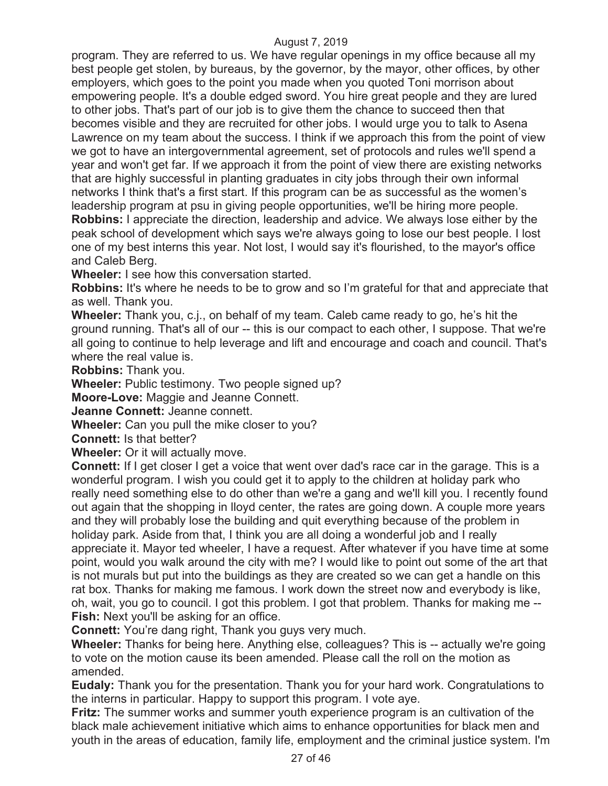program. They are referred to us. We have regular openings in my office because all my best people get stolen, by bureaus, by the governor, by the mayor, other offices, by other employers, which goes to the point you made when you quoted Toni morrison about empowering people. It's a double edged sword. You hire great people and they are lured to other jobs. That's part of our job is to give them the chance to succeed then that becomes visible and they are recruited for other jobs. I would urge you to talk to Asena Lawrence on my team about the success. I think if we approach this from the point of view we got to have an intergovernmental agreement, set of protocols and rules we'll spend a year and won't get far. If we approach it from the point of view there are existing networks that are highly successful in planting graduates in city jobs through their own informal networks I think that's a first start. If this program can be as successful as the women's leadership program at psu in giving people opportunities, we'll be hiring more people. **Robbins:** I appreciate the direction, leadership and advice. We always lose either by the peak school of development which says we're always going to lose our best people. I lost

one of my best interns this year. Not lost, I would say it's flourished, to the mayor's office and Caleb Berg.

**Wheeler:** I see how this conversation started.

**Robbins:** It's where he needs to be to grow and so I'm grateful for that and appreciate that as well. Thank you.

**Wheeler:** Thank you, c.j., on behalf of my team. Caleb came ready to go, he's hit the ground running. That's all of our -- this is our compact to each other, I suppose. That we're all going to continue to help leverage and lift and encourage and coach and council. That's where the real value is.

**Robbins:** Thank you.

**Wheeler:** Public testimony. Two people signed up?

**Moore-Love:** Maggie and Jeanne Connett.

**Jeanne Connett:** Jeanne connett.

**Wheeler:** Can you pull the mike closer to you?

**Connett:** Is that better?

**Wheeler:** Or it will actually move.

**Connett:** If I get closer I get a voice that went over dad's race car in the garage. This is a wonderful program. I wish you could get it to apply to the children at holiday park who really need something else to do other than we're a gang and we'll kill you. I recently found out again that the shopping in lloyd center, the rates are going down. A couple more years and they will probably lose the building and quit everything because of the problem in holiday park. Aside from that, I think you are all doing a wonderful job and I really appreciate it. Mayor ted wheeler, I have a request. After whatever if you have time at some point, would you walk around the city with me? I would like to point out some of the art that is not murals but put into the buildings as they are created so we can get a handle on this rat box. Thanks for making me famous. I work down the street now and everybody is like, oh, wait, you go to council. I got this problem. I got that problem. Thanks for making me -- **Fish:** Next you'll be asking for an office.

**Connett:** You're dang right, Thank you guys very much.

**Wheeler:** Thanks for being here. Anything else, colleagues? This is -- actually we're going to vote on the motion cause its been amended. Please call the roll on the motion as amended.

**Eudaly:** Thank you for the presentation. Thank you for your hard work. Congratulations to the interns in particular. Happy to support this program. I vote aye.

**Fritz:** The summer works and summer youth experience program is an cultivation of the black male achievement initiative which aims to enhance opportunities for black men and youth in the areas of education, family life, employment and the criminal justice system. I'm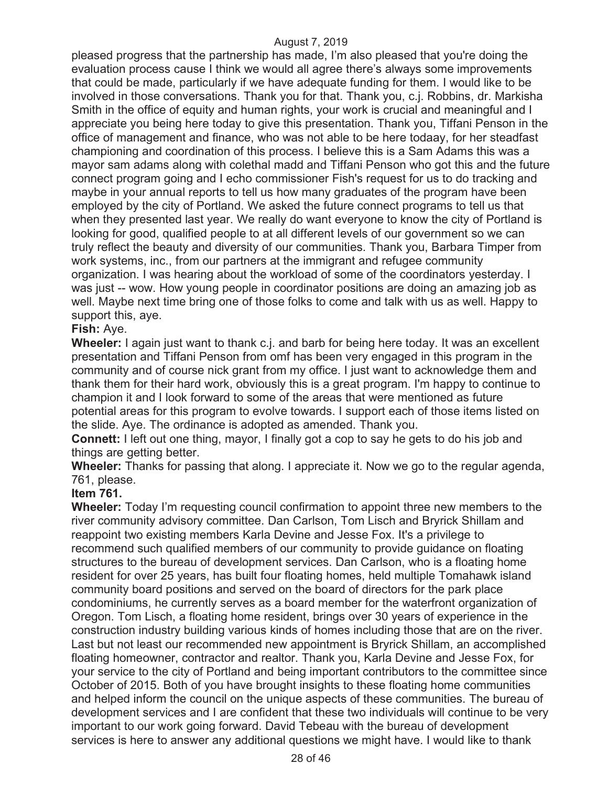pleased progress that the partnership has made, I'm also pleased that you're doing the evaluation process cause I think we would all agree there's always some improvements that could be made, particularly if we have adequate funding for them. I would like to be involved in those conversations. Thank you for that. Thank you, c.j. Robbins, dr. Markisha Smith in the office of equity and human rights, your work is crucial and meaningful and I appreciate you being here today to give this presentation. Thank you, Tiffani Penson in the office of management and finance, who was not able to be here todaay, for her steadfast championing and coordination of this process. I believe this is a Sam Adams this was a mayor sam adams along with colethal madd and Tiffani Penson who got this and the future connect program going and I echo commissioner Fish's request for us to do tracking and maybe in your annual reports to tell us how many graduates of the program have been employed by the city of Portland. We asked the future connect programs to tell us that when they presented last year. We really do want everyone to know the city of Portland is looking for good, qualified people to at all different levels of our government so we can truly reflect the beauty and diversity of our communities. Thank you, Barbara Timper from work systems, inc., from our partners at the immigrant and refugee community organization. I was hearing about the workload of some of the coordinators yesterday. I was just -- wow. How young people in coordinator positions are doing an amazing job as well. Maybe next time bring one of those folks to come and talk with us as well. Happy to support this, aye.

#### **Fish:** Aye.

**Wheeler:** I again just want to thank c.j. and barb for being here today. It was an excellent presentation and Tiffani Penson from omf has been very engaged in this program in the community and of course nick grant from my office. I just want to acknowledge them and thank them for their hard work, obviously this is a great program. I'm happy to continue to champion it and I look forward to some of the areas that were mentioned as future potential areas for this program to evolve towards. I support each of those items listed on the slide. Aye. The ordinance is adopted as amended. Thank you.

**Connett:** I left out one thing, mayor, I finally got a cop to say he gets to do his job and things are getting better.

**Wheeler:** Thanks for passing that along. I appreciate it. Now we go to the regular agenda, 761, please.

#### **Item 761.**

**Wheeler:** Today I'm requesting council confirmation to appoint three new members to the river community advisory committee. Dan Carlson, Tom Lisch and Bryrick Shillam and reappoint two existing members Karla Devine and Jesse Fox. It's a privilege to recommend such qualified members of our community to provide guidance on floating structures to the bureau of development services. Dan Carlson, who is a floating home resident for over 25 years, has built four floating homes, held multiple Tomahawk island community board positions and served on the board of directors for the park place condominiums, he currently serves as a board member for the waterfront organization of Oregon. Tom Lisch, a floating home resident, brings over 30 years of experience in the construction industry building various kinds of homes including those that are on the river. Last but not least our recommended new appointment is Bryrick Shillam, an accomplished floating homeowner, contractor and realtor. Thank you, Karla Devine and Jesse Fox, for your service to the city of Portland and being important contributors to the committee since October of 2015. Both of you have brought insights to these floating home communities and helped inform the council on the unique aspects of these communities. The bureau of development services and I are confident that these two individuals will continue to be very important to our work going forward. David Tebeau with the bureau of development services is here to answer any additional questions we might have. I would like to thank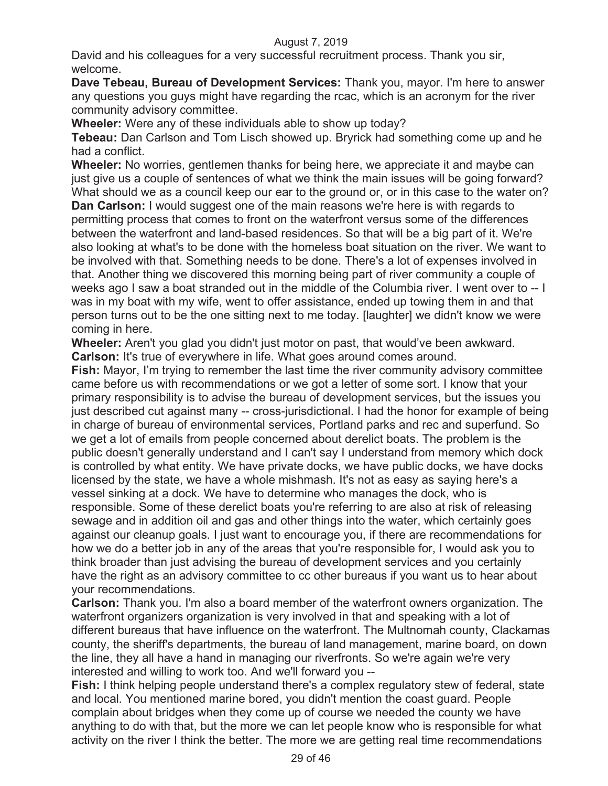David and his colleagues for a very successful recruitment process. Thank you sir, welcome.

**Dave Tebeau, Bureau of Development Services:** Thank you, mayor. I'm here to answer any questions you guys might have regarding the rcac, which is an acronym for the river community advisory committee.

**Wheeler:** Were any of these individuals able to show up today?

**Tebeau:** Dan Carlson and Tom Lisch showed up. Bryrick had something come up and he had a conflict.

**Wheeler:** No worries, gentlemen thanks for being here, we appreciate it and maybe can just give us a couple of sentences of what we think the main issues will be going forward? What should we as a council keep our ear to the ground or, or in this case to the water on? **Dan Carlson:** I would suggest one of the main reasons we're here is with regards to permitting process that comes to front on the waterfront versus some of the differences between the waterfront and land-based residences. So that will be a big part of it. We're also looking at what's to be done with the homeless boat situation on the river. We want to be involved with that. Something needs to be done. There's a lot of expenses involved in that. Another thing we discovered this morning being part of river community a couple of weeks ago I saw a boat stranded out in the middle of the Columbia river. I went over to -- I was in my boat with my wife, went to offer assistance, ended up towing them in and that person turns out to be the one sitting next to me today. [laughter] we didn't know we were coming in here.

**Wheeler:** Aren't you glad you didn't just motor on past, that would've been awkward. **Carlson:** It's true of everywhere in life. What goes around comes around.

**Fish:** Mayor, I'm trying to remember the last time the river community advisory committee came before us with recommendations or we got a letter of some sort. I know that your primary responsibility is to advise the bureau of development services, but the issues you just described cut against many -- cross-jurisdictional. I had the honor for example of being in charge of bureau of environmental services, Portland parks and rec and superfund. So we get a lot of emails from people concerned about derelict boats. The problem is the public doesn't generally understand and I can't say I understand from memory which dock is controlled by what entity. We have private docks, we have public docks, we have docks licensed by the state, we have a whole mishmash. It's not as easy as saying here's a vessel sinking at a dock. We have to determine who manages the dock, who is responsible. Some of these derelict boats you're referring to are also at risk of releasing sewage and in addition oil and gas and other things into the water, which certainly goes against our cleanup goals. I just want to encourage you, if there are recommendations for how we do a better job in any of the areas that you're responsible for, I would ask you to think broader than just advising the bureau of development services and you certainly have the right as an advisory committee to cc other bureaus if you want us to hear about your recommendations.

**Carlson:** Thank you. I'm also a board member of the waterfront owners organization. The waterfront organizers organization is very involved in that and speaking with a lot of different bureaus that have influence on the waterfront. The Multnomah county, Clackamas county, the sheriff's departments, the bureau of land management, marine board, on down the line, they all have a hand in managing our riverfronts. So we're again we're very interested and willing to work too. And we'll forward you --

**Fish:** I think helping people understand there's a complex regulatory stew of federal, state and local. You mentioned marine bored, you didn't mention the coast guard. People complain about bridges when they come up of course we needed the county we have anything to do with that, but the more we can let people know who is responsible for what activity on the river I think the better. The more we are getting real time recommendations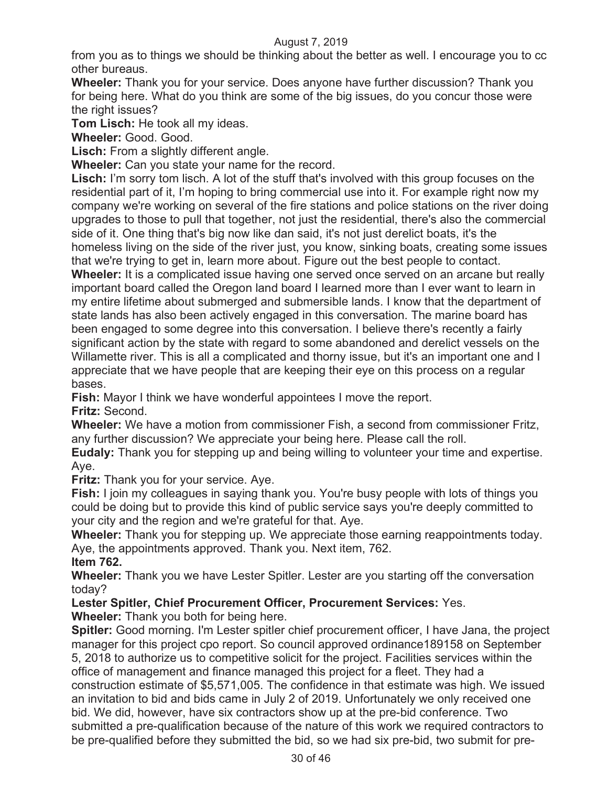from you as to things we should be thinking about the better as well. I encourage you to cc other bureaus.

**Wheeler:** Thank you for your service. Does anyone have further discussion? Thank you for being here. What do you think are some of the big issues, do you concur those were the right issues?

**Tom Lisch:** He took all my ideas.

**Wheeler:** Good. Good.

**Lisch:** From a slightly different angle.

**Wheeler:** Can you state your name for the record.

Lisch: I'm sorry tom lisch. A lot of the stuff that's involved with this group focuses on the residential part of it, I'm hoping to bring commercial use into it. For example right now my company we're working on several of the fire stations and police stations on the river doing upgrades to those to pull that together, not just the residential, there's also the commercial side of it. One thing that's big now like dan said, it's not just derelict boats, it's the homeless living on the side of the river just, you know, sinking boats, creating some issues

that we're trying to get in, learn more about. Figure out the best people to contact. **Wheeler:** It is a complicated issue having one served once served on an arcane but really important board called the Oregon land board I learned more than I ever want to learn in my entire lifetime about submerged and submersible lands. I know that the department of state lands has also been actively engaged in this conversation. The marine board has been engaged to some degree into this conversation. I believe there's recently a fairly significant action by the state with regard to some abandoned and derelict vessels on the Willamette river. This is all a complicated and thorny issue, but it's an important one and I appreciate that we have people that are keeping their eye on this process on a regular bases.

**Fish:** Mayor I think we have wonderful appointees I move the report. **Fritz:** Second.

**Wheeler:** We have a motion from commissioner Fish, a second from commissioner Fritz, any further discussion? We appreciate your being here. Please call the roll.

**Eudaly:** Thank you for stepping up and being willing to volunteer your time and expertise. Aye.

**Fritz:** Thank you for your service. Aye.

**Fish:** I join my colleagues in saying thank you. You're busy people with lots of things you could be doing but to provide this kind of public service says you're deeply committed to your city and the region and we're grateful for that. Aye.

**Wheeler:** Thank you for stepping up. We appreciate those earning reappointments today. Aye, the appointments approved. Thank you. Next item, 762.

#### **Item 762.**

**Wheeler:** Thank you we have Lester Spitler. Lester are you starting off the conversation today?

**Lester Spitler, Chief Procurement Officer, Procurement Services:** Yes.

**Wheeler:** Thank you both for being here.

**Spitler:** Good morning. I'm Lester spitler chief procurement officer, I have Jana, the project manager for this project cpo report. So council approved ordinance189158 on September 5, 2018 to authorize us to competitive solicit for the project. Facilities services within the office of management and finance managed this project for a fleet. They had a construction estimate of \$5,571,005. The confidence in that estimate was high. We issued an invitation to bid and bids came in July 2 of 2019. Unfortunately we only received one bid. We did, however, have six contractors show up at the pre-bid conference. Two submitted a pre-qualification because of the nature of this work we required contractors to be pre-qualified before they submitted the bid, so we had six pre-bid, two submit for pre-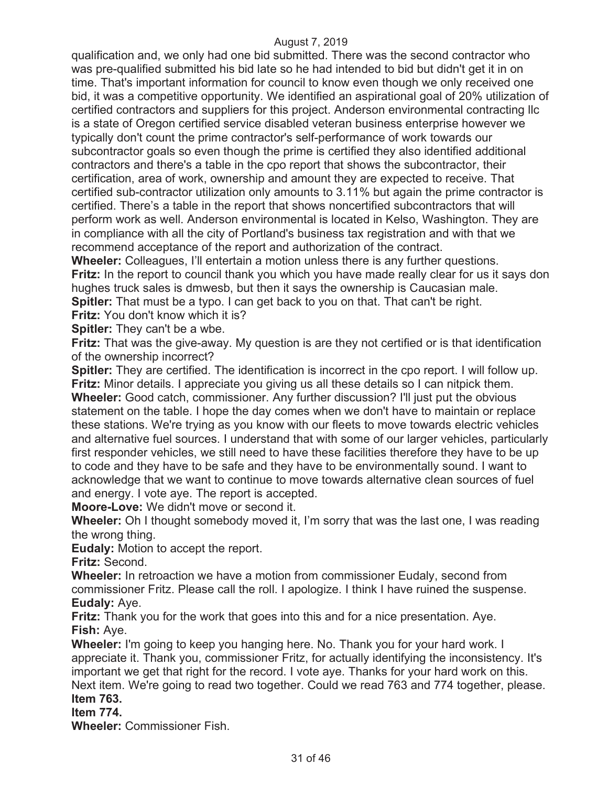qualification and, we only had one bid submitted. There was the second contractor who was pre-qualified submitted his bid late so he had intended to bid but didn't get it in on time. That's important information for council to know even though we only received one bid, it was a competitive opportunity. We identified an aspirational goal of 20% utilization of certified contractors and suppliers for this project. Anderson environmental contracting llc is a state of Oregon certified service disabled veteran business enterprise however we typically don't count the prime contractor's self-performance of work towards our subcontractor goals so even though the prime is certified they also identified additional contractors and there's a table in the cpo report that shows the subcontractor, their certification, area of work, ownership and amount they are expected to receive. That certified sub-contractor utilization only amounts to 3.11% but again the prime contractor is certified. There's a table in the report that shows noncertified subcontractors that will perform work as well. Anderson environmental is located in Kelso, Washington. They are in compliance with all the city of Portland's business tax registration and with that we recommend acceptance of the report and authorization of the contract.

**Wheeler:** Colleagues, I'll entertain a motion unless there is any further questions. **Fritz:** In the report to council thank you which you have made really clear for us it says don hughes truck sales is dmwesb, but then it says the ownership is Caucasian male. **Spitler:** That must be a typo. I can get back to you on that. That can't be right.

**Fritz:** You don't know which it is?

**Spitler:** They can't be a wbe.

**Fritz:** That was the give-away. My question is are they not certified or is that identification of the ownership incorrect?

**Spitler:** They are certified. The identification is incorrect in the cpo report. I will follow up. **Fritz:** Minor details. I appreciate you giving us all these details so I can nitpick them. **Wheeler:** Good catch, commissioner. Any further discussion? I'll just put the obvious statement on the table. I hope the day comes when we don't have to maintain or replace these stations. We're trying as you know with our fleets to move towards electric vehicles and alternative fuel sources. I understand that with some of our larger vehicles, particularly first responder vehicles, we still need to have these facilities therefore they have to be up to code and they have to be safe and they have to be environmentally sound. I want to acknowledge that we want to continue to move towards alternative clean sources of fuel and energy. I vote aye. The report is accepted.

**Moore-Love:** We didn't move or second it.

**Wheeler:** Oh I thought somebody moved it, I'm sorry that was the last one, I was reading the wrong thing.

**Eudaly:** Motion to accept the report.

**Fritz:** Second.

**Wheeler:** In retroaction we have a motion from commissioner Eudaly, second from commissioner Fritz. Please call the roll. I apologize. I think I have ruined the suspense. **Eudaly:** Aye.

**Fritz:** Thank you for the work that goes into this and for a nice presentation. Aye. **Fish:** Aye.

**Wheeler:** I'm going to keep you hanging here. No. Thank you for your hard work. I appreciate it. Thank you, commissioner Fritz, for actually identifying the inconsistency. It's important we get that right for the record. I vote aye. Thanks for your hard work on this. Next item. We're going to read two together. Could we read 763 and 774 together, please. **Item 763.** 

## **Item 774.**

**Wheeler:** Commissioner Fish.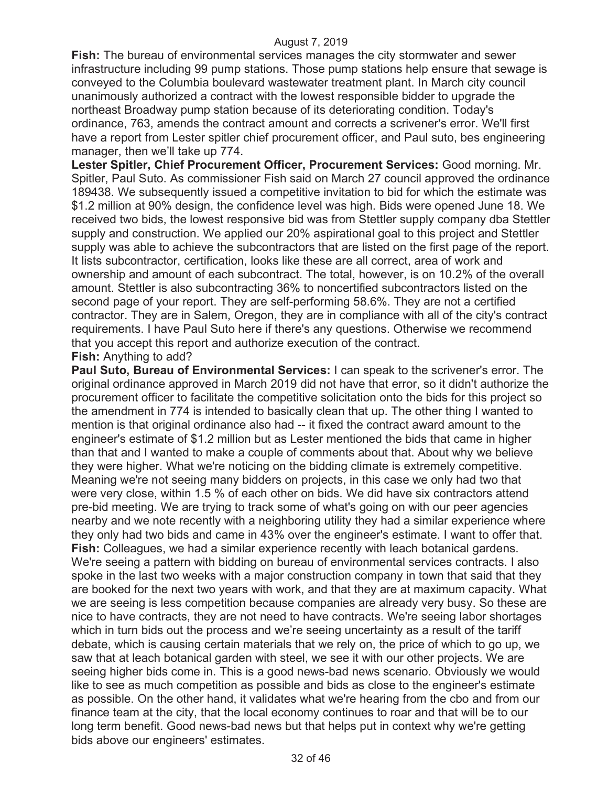**Fish:** The bureau of environmental services manages the city stormwater and sewer infrastructure including 99 pump stations. Those pump stations help ensure that sewage is conveyed to the Columbia boulevard wastewater treatment plant. In March city council unanimously authorized a contract with the lowest responsible bidder to upgrade the northeast Broadway pump station because of its deteriorating condition. Today's ordinance, 763, amends the contract amount and corrects a scrivener's error. We'll first have a report from Lester spitler chief procurement officer, and Paul suto, bes engineering manager, then we'll take up 774.

**Lester Spitler, Chief Procurement Officer, Procurement Services:** Good morning. Mr. Spitler, Paul Suto. As commissioner Fish said on March 27 council approved the ordinance 189438. We subsequently issued a competitive invitation to bid for which the estimate was \$1.2 million at 90% design, the confidence level was high. Bids were opened June 18. We received two bids, the lowest responsive bid was from Stettler supply company dba Stettler supply and construction. We applied our 20% aspirational goal to this project and Stettler supply was able to achieve the subcontractors that are listed on the first page of the report. It lists subcontractor, certification, looks like these are all correct, area of work and ownership and amount of each subcontract. The total, however, is on 10.2% of the overall amount. Stettler is also subcontracting 36% to noncertified subcontractors listed on the second page of your report. They are self-performing 58.6%. They are not a certified contractor. They are in Salem, Oregon, they are in compliance with all of the city's contract requirements. I have Paul Suto here if there's any questions. Otherwise we recommend that you accept this report and authorize execution of the contract. **Fish:** Anything to add?

**Paul Suto, Bureau of Environmental Services:** I can speak to the scrivener's error. The original ordinance approved in March 2019 did not have that error, so it didn't authorize the procurement officer to facilitate the competitive solicitation onto the bids for this project so the amendment in 774 is intended to basically clean that up. The other thing I wanted to mention is that original ordinance also had -- it fixed the contract award amount to the engineer's estimate of \$1.2 million but as Lester mentioned the bids that came in higher than that and I wanted to make a couple of comments about that. About why we believe they were higher. What we're noticing on the bidding climate is extremely competitive. Meaning we're not seeing many bidders on projects, in this case we only had two that were very close, within 1.5 % of each other on bids. We did have six contractors attend pre-bid meeting. We are trying to track some of what's going on with our peer agencies nearby and we note recently with a neighboring utility they had a similar experience where they only had two bids and came in 43% over the engineer's estimate. I want to offer that. **Fish:** Colleagues, we had a similar experience recently with leach botanical gardens. We're seeing a pattern with bidding on bureau of environmental services contracts. I also spoke in the last two weeks with a major construction company in town that said that they are booked for the next two years with work, and that they are at maximum capacity. What we are seeing is less competition because companies are already very busy. So these are nice to have contracts, they are not need to have contracts. We're seeing labor shortages which in turn bids out the process and we're seeing uncertainty as a result of the tariff debate, which is causing certain materials that we rely on, the price of which to go up, we saw that at leach botanical garden with steel, we see it with our other projects. We are seeing higher bids come in. This is a good news-bad news scenario. Obviously we would like to see as much competition as possible and bids as close to the engineer's estimate as possible. On the other hand, it validates what we're hearing from the cbo and from our finance team at the city, that the local economy continues to roar and that will be to our long term benefit. Good news-bad news but that helps put in context why we're getting bids above our engineers' estimates.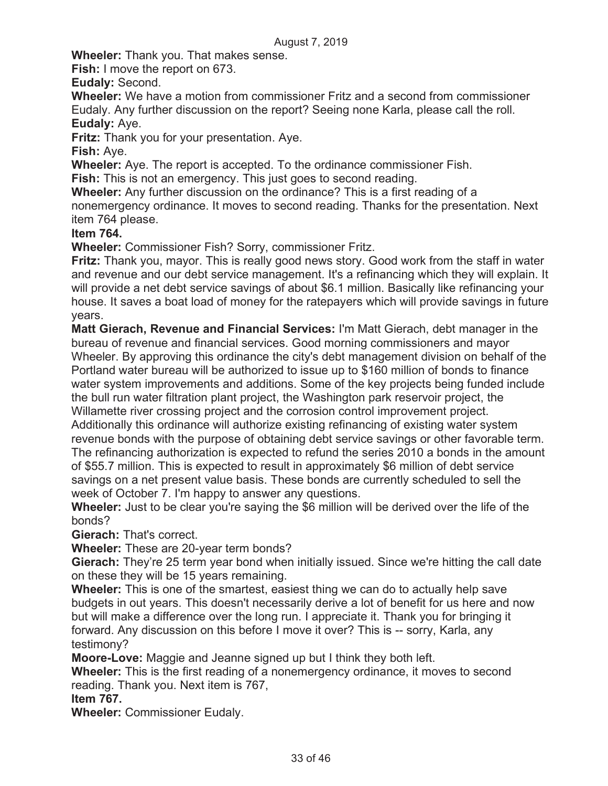**Wheeler:** Thank you. That makes sense.

**Fish:** I move the report on 673.

**Eudaly:** Second.

**Wheeler:** We have a motion from commissioner Fritz and a second from commissioner Eudaly. Any further discussion on the report? Seeing none Karla, please call the roll. **Eudaly:** Aye.

**Fritz:** Thank you for your presentation. Aye.

**Fish:** Aye.

**Wheeler:** Aye. The report is accepted. To the ordinance commissioner Fish.

**Fish:** This is not an emergency. This just goes to second reading.

**Wheeler:** Any further discussion on the ordinance? This is a first reading of a

nonemergency ordinance. It moves to second reading. Thanks for the presentation. Next item 764 please.

#### **Item 764.**

**Wheeler:** Commissioner Fish? Sorry, commissioner Fritz.

**Fritz:** Thank you, mayor. This is really good news story. Good work from the staff in water and revenue and our debt service management. It's a refinancing which they will explain. It will provide a net debt service savings of about \$6.1 million. Basically like refinancing your house. It saves a boat load of money for the ratepayers which will provide savings in future years.

**Matt Gierach, Revenue and Financial Services:** I'm Matt Gierach, debt manager in the bureau of revenue and financial services. Good morning commissioners and mayor Wheeler. By approving this ordinance the city's debt management division on behalf of the Portland water bureau will be authorized to issue up to \$160 million of bonds to finance water system improvements and additions. Some of the key projects being funded include the bull run water filtration plant project, the Washington park reservoir project, the Willamette river crossing project and the corrosion control improvement project.

Additionally this ordinance will authorize existing refinancing of existing water system revenue bonds with the purpose of obtaining debt service savings or other favorable term. The refinancing authorization is expected to refund the series 2010 a bonds in the amount of \$55.7 million. This is expected to result in approximately \$6 million of debt service savings on a net present value basis. These bonds are currently scheduled to sell the week of October 7. I'm happy to answer any questions.

**Wheeler:** Just to be clear you're saying the \$6 million will be derived over the life of the bonds?

**Gierach:** That's correct.

**Wheeler:** These are 20-year term bonds?

**Gierach:** They're 25 term year bond when initially issued. Since we're hitting the call date on these they will be 15 years remaining.

**Wheeler:** This is one of the smartest, easiest thing we can do to actually help save budgets in out years. This doesn't necessarily derive a lot of benefit for us here and now but will make a difference over the long run. I appreciate it. Thank you for bringing it forward. Any discussion on this before I move it over? This is -- sorry, Karla, any testimony?

**Moore-Love:** Maggie and Jeanne signed up but I think they both left.

**Wheeler:** This is the first reading of a nonemergency ordinance, it moves to second reading. Thank you. Next item is 767,

**Item 767.** 

**Wheeler:** Commissioner Eudaly.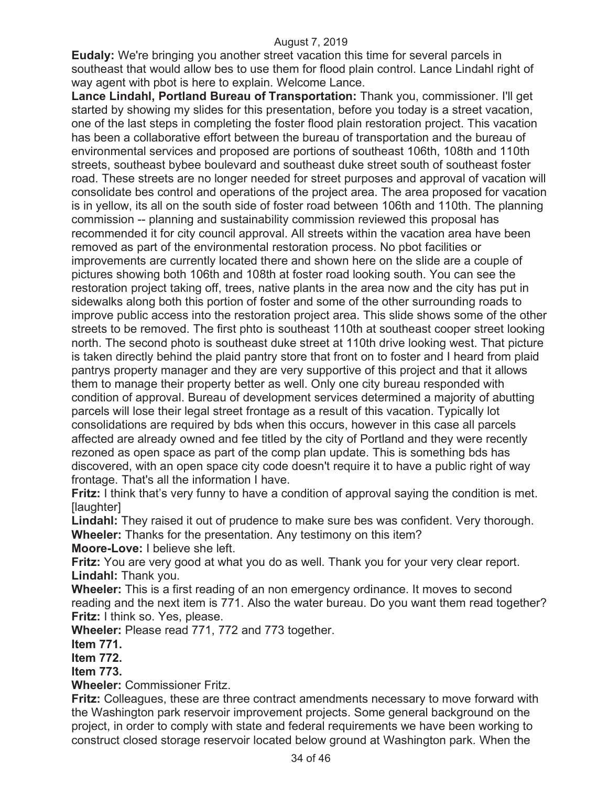**Eudaly:** We're bringing you another street vacation this time for several parcels in southeast that would allow bes to use them for flood plain control. Lance Lindahl right of way agent with pbot is here to explain. Welcome Lance.

**Lance Lindahl, Portland Bureau of Transportation:** Thank you, commissioner. I'll get started by showing my slides for this presentation, before you today is a street vacation, one of the last steps in completing the foster flood plain restoration project. This vacation has been a collaborative effort between the bureau of transportation and the bureau of environmental services and proposed are portions of southeast 106th, 108th and 110th streets, southeast bybee boulevard and southeast duke street south of southeast foster road. These streets are no longer needed for street purposes and approval of vacation will consolidate bes control and operations of the project area. The area proposed for vacation is in yellow, its all on the south side of foster road between 106th and 110th. The planning commission -- planning and sustainability commission reviewed this proposal has recommended it for city council approval. All streets within the vacation area have been removed as part of the environmental restoration process. No pbot facilities or improvements are currently located there and shown here on the slide are a couple of pictures showing both 106th and 108th at foster road looking south. You can see the restoration project taking off, trees, native plants in the area now and the city has put in sidewalks along both this portion of foster and some of the other surrounding roads to improve public access into the restoration project area. This slide shows some of the other streets to be removed. The first phto is southeast 110th at southeast cooper street looking north. The second photo is southeast duke street at 110th drive looking west. That picture is taken directly behind the plaid pantry store that front on to foster and I heard from plaid pantrys property manager and they are very supportive of this project and that it allows them to manage their property better as well. Only one city bureau responded with condition of approval. Bureau of development services determined a majority of abutting parcels will lose their legal street frontage as a result of this vacation. Typically lot consolidations are required by bds when this occurs, however in this case all parcels affected are already owned and fee titled by the city of Portland and they were recently rezoned as open space as part of the comp plan update. This is something bds has discovered, with an open space city code doesn't require it to have a public right of way frontage. That's all the information I have.

**Fritz:** I think that's very funny to have a condition of approval saying the condition is met. [laughter]

**Lindahl:** They raised it out of prudence to make sure bes was confident. Very thorough. **Wheeler:** Thanks for the presentation. Any testimony on this item?

**Moore-Love:** I believe she left.

**Fritz:** You are very good at what you do as well. Thank you for your very clear report. **Lindahl:** Thank you.

**Wheeler:** This is a first reading of an non emergency ordinance. It moves to second reading and the next item is 771. Also the water bureau. Do you want them read together? **Fritz:** I think so. Yes, please.

**Wheeler:** Please read 771, 772 and 773 together.

**Item 771.** 

**Item 772.** 

**Item 773.** 

**Wheeler:** Commissioner Fritz.

**Fritz:** Colleagues, these are three contract amendments necessary to move forward with the Washington park reservoir improvement projects. Some general background on the project, in order to comply with state and federal requirements we have been working to construct closed storage reservoir located below ground at Washington park. When the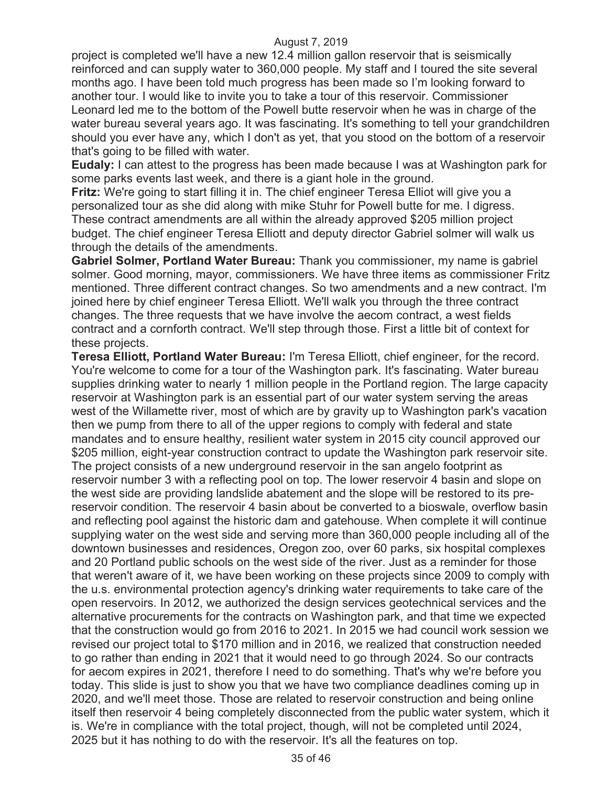project is completed we'll have a new 12.4 million gallon reservoir that is seismically reinforced and can supply water to 360,000 people. My staff and I toured the site several months ago. I have been told much progress has been made so I'm looking forward to another tour. I would like to invite you to take a tour of this reservoir. Commissioner Leonard led me to the bottom of the Powell butte reservoir when he was in charge of the water bureau several years ago. It was fascinating. It's something to tell your grandchildren should you ever have any, which I don't as yet, that you stood on the bottom of a reservoir that's going to be filled with water.

**Eudaly:** I can attest to the progress has been made because I was at Washington park for some parks events last week, and there is a giant hole in the ground.

**Fritz:** We're going to start filling it in. The chief engineer Teresa Elliot will give you a personalized tour as she did along with mike Stuhr for Powell butte for me. I digress. These contract amendments are all within the already approved \$205 million project budget. The chief engineer Teresa Elliott and deputy director Gabriel solmer will walk us through the details of the amendments.

**Gabriel Solmer, Portland Water Bureau:** Thank you commissioner, my name is gabriel solmer. Good morning, mayor, commissioners. We have three items as commissioner Fritz mentioned. Three different contract changes. So two amendments and a new contract. I'm joined here by chief engineer Teresa Elliott. We'll walk you through the three contract changes. The three requests that we have involve the aecom contract, a west fields contract and a cornforth contract. We'll step through those. First a little bit of context for these projects.

**Teresa Elliott, Portland Water Bureau:** I'm Teresa Elliott, chief engineer, for the record. You're welcome to come for a tour of the Washington park. It's fascinating. Water bureau supplies drinking water to nearly 1 million people in the Portland region. The large capacity reservoir at Washington park is an essential part of our water system serving the areas west of the Willamette river, most of which are by gravity up to Washington park's vacation then we pump from there to all of the upper regions to comply with federal and state mandates and to ensure healthy, resilient water system in 2015 city council approved our \$205 million, eight-year construction contract to update the Washington park reservoir site. The project consists of a new underground reservoir in the san angelo footprint as reservoir number 3 with a reflecting pool on top. The lower reservoir 4 basin and slope on the west side are providing landslide abatement and the slope will be restored to its prereservoir condition. The reservoir 4 basin about be converted to a bioswale, overflow basin and reflecting pool against the historic dam and gatehouse. When complete it will continue supplying water on the west side and serving more than 360,000 people including all of the downtown businesses and residences, Oregon zoo, over 60 parks, six hospital complexes and 20 Portland public schools on the west side of the river. Just as a reminder for those that weren't aware of it, we have been working on these projects since 2009 to comply with the u.s. environmental protection agency's drinking water requirements to take care of the open reservoirs. In 2012, we authorized the design services geotechnical services and the alternative procurements for the contracts on Washington park, and that time we expected that the construction would go from 2016 to 2021. In 2015 we had council work session we revised our project total to \$170 million and in 2016, we realized that construction needed to go rather than ending in 2021 that it would need to go through 2024. So our contracts for aecom expires in 2021, therefore I need to do something. That's why we're before you today. This slide is just to show you that we have two compliance deadlines coming up in 2020, and we'll meet those. Those are related to reservoir construction and being online itself then reservoir 4 being completely disconnected from the public water system, which it is. We're in compliance with the total project, though, will not be completed until 2024, 2025 but it has nothing to do with the reservoir. It's all the features on top.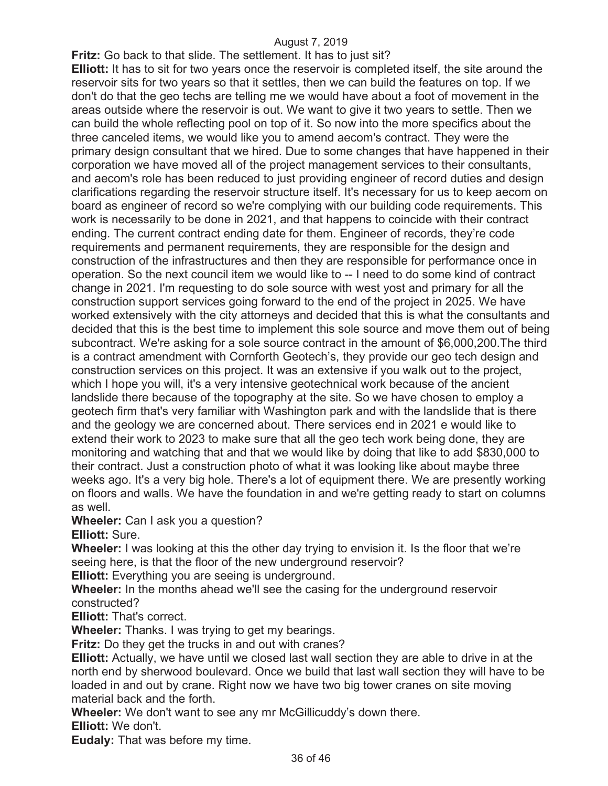**Fritz:** Go back to that slide. The settlement. It has to just sit?

**Elliott:** It has to sit for two years once the reservoir is completed itself, the site around the reservoir sits for two years so that it settles, then we can build the features on top. If we don't do that the geo techs are telling me we would have about a foot of movement in the areas outside where the reservoir is out. We want to give it two years to settle. Then we can build the whole reflecting pool on top of it. So now into the more specifics about the three canceled items, we would like you to amend aecom's contract. They were the primary design consultant that we hired. Due to some changes that have happened in their corporation we have moved all of the project management services to their consultants, and aecom's role has been reduced to just providing engineer of record duties and design clarifications regarding the reservoir structure itself. It's necessary for us to keep aecom on board as engineer of record so we're complying with our building code requirements. This work is necessarily to be done in 2021, and that happens to coincide with their contract ending. The current contract ending date for them. Engineer of records, they're code requirements and permanent requirements, they are responsible for the design and construction of the infrastructures and then they are responsible for performance once in operation. So the next council item we would like to -- I need to do some kind of contract change in 2021. I'm requesting to do sole source with west yost and primary for all the construction support services going forward to the end of the project in 2025. We have worked extensively with the city attorneys and decided that this is what the consultants and decided that this is the best time to implement this sole source and move them out of being subcontract. We're asking for a sole source contract in the amount of \$6,000,200.The third is a contract amendment with Cornforth Geotech's, they provide our geo tech design and construction services on this project. It was an extensive if you walk out to the project, which I hope you will, it's a very intensive geotechnical work because of the ancient landslide there because of the topography at the site. So we have chosen to employ a geotech firm that's very familiar with Washington park and with the landslide that is there and the geology we are concerned about. There services end in 2021 e would like to extend their work to 2023 to make sure that all the geo tech work being done, they are monitoring and watching that and that we would like by doing that like to add \$830,000 to their contract. Just a construction photo of what it was looking like about maybe three weeks ago. It's a very big hole. There's a lot of equipment there. We are presently working on floors and walls. We have the foundation in and we're getting ready to start on columns as well.

**Wheeler:** Can I ask you a question?

**Elliott:** Sure.

**Wheeler:** I was looking at this the other day trying to envision it. Is the floor that we're seeing here, is that the floor of the new underground reservoir?

**Elliott:** Everything you are seeing is underground.

**Wheeler:** In the months ahead we'll see the casing for the underground reservoir constructed?

**Elliott:** That's correct.

**Wheeler:** Thanks. I was trying to get my bearings.

**Fritz:** Do they get the trucks in and out with cranes?

**Elliott:** Actually, we have until we closed last wall section they are able to drive in at the north end by sherwood boulevard. Once we build that last wall section they will have to be loaded in and out by crane. Right now we have two big tower cranes on site moving material back and the forth.

**Wheeler:** We don't want to see any mr McGillicuddy's down there.

**Elliott:** We don't.

**Eudaly:** That was before my time.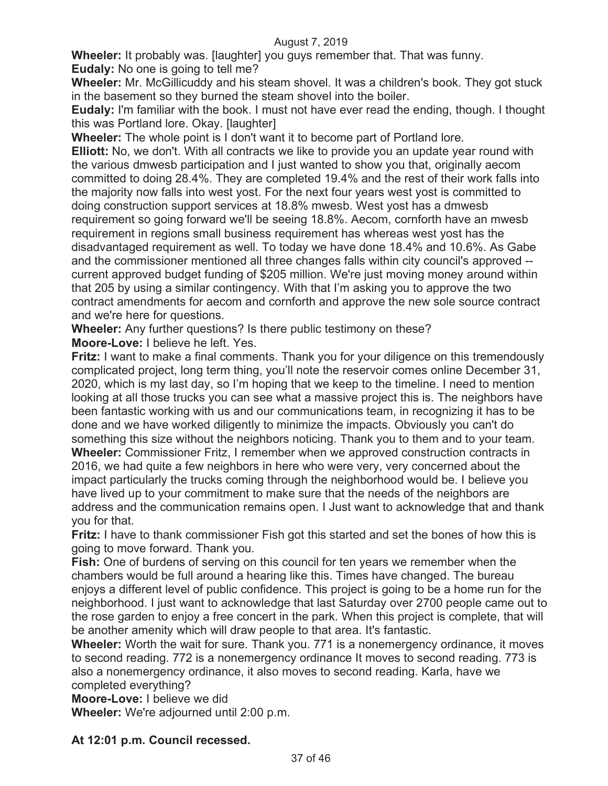**Wheeler:** It probably was. [laughter] you guys remember that. That was funny. **Eudaly:** No one is going to tell me?

**Wheeler:** Mr. McGillicuddy and his steam shovel. It was a children's book. They got stuck in the basement so they burned the steam shovel into the boiler.

**Eudaly:** I'm familiar with the book. I must not have ever read the ending, though. I thought this was Portland lore. Okay. [laughter]

**Wheeler:** The whole point is I don't want it to become part of Portland lore.

**Elliott:** No, we don't. With all contracts we like to provide you an update year round with the various dmwesb participation and I just wanted to show you that, originally aecom committed to doing 28.4%. They are completed 19.4% and the rest of their work falls into the majority now falls into west yost. For the next four years west yost is committed to doing construction support services at 18.8% mwesb. West yost has a dmwesb requirement so going forward we'll be seeing 18.8%. Aecom, cornforth have an mwesb requirement in regions small business requirement has whereas west yost has the disadvantaged requirement as well. To today we have done 18.4% and 10.6%. As Gabe and the commissioner mentioned all three changes falls within city council's approved - current approved budget funding of \$205 million. We're just moving money around within that 205 by using a similar contingency. With that I'm asking you to approve the two contract amendments for aecom and cornforth and approve the new sole source contract and we're here for questions.

**Wheeler:** Any further questions? Is there public testimony on these? **Moore-Love:** I believe he left. Yes.

**Fritz:** I want to make a final comments. Thank you for your diligence on this tremendously complicated project, long term thing, you'll note the reservoir comes online December 31, 2020, which is my last day, so I'm hoping that we keep to the timeline. I need to mention looking at all those trucks you can see what a massive project this is. The neighbors have been fantastic working with us and our communications team, in recognizing it has to be done and we have worked diligently to minimize the impacts. Obviously you can't do something this size without the neighbors noticing. Thank you to them and to your team. **Wheeler:** Commissioner Fritz, I remember when we approved construction contracts in 2016, we had quite a few neighbors in here who were very, very concerned about the impact particularly the trucks coming through the neighborhood would be. I believe you have lived up to your commitment to make sure that the needs of the neighbors are address and the communication remains open. I Just want to acknowledge that and thank you for that.

**Fritz:** I have to thank commissioner Fish got this started and set the bones of how this is going to move forward. Thank you.

**Fish:** One of burdens of serving on this council for ten years we remember when the chambers would be full around a hearing like this. Times have changed. The bureau enjoys a different level of public confidence. This project is going to be a home run for the neighborhood. I just want to acknowledge that last Saturday over 2700 people came out to the rose garden to enjoy a free concert in the park. When this project is complete, that will be another amenity which will draw people to that area. It's fantastic.

**Wheeler:** Worth the wait for sure. Thank you. 771 is a nonemergency ordinance, it moves to second reading. 772 is a nonemergency ordinance It moves to second reading. 773 is also a nonemergency ordinance, it also moves to second reading. Karla, have we completed everything?

**Moore-Love:** I believe we did

**Wheeler:** We're adjourned until 2:00 p.m.

#### **At 12:01 p.m. Council recessed.**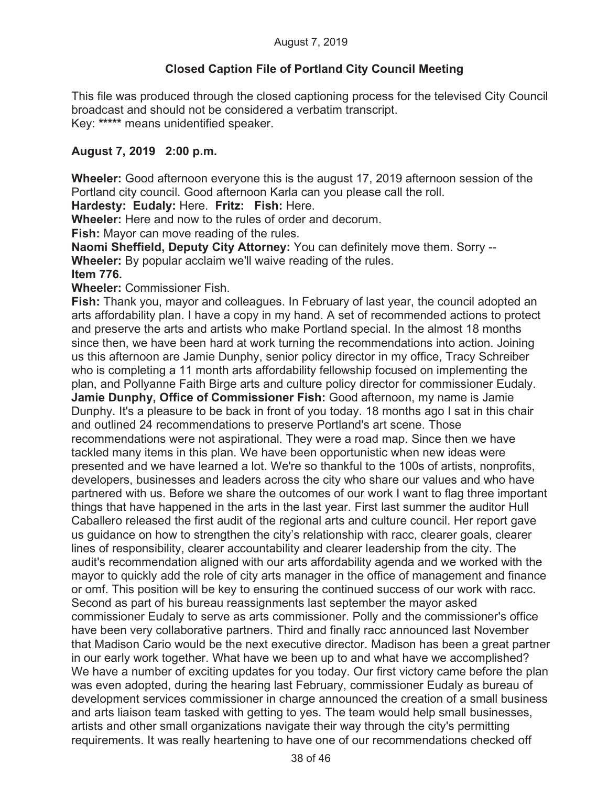## **Closed Caption File of Portland City Council Meeting**

This file was produced through the closed captioning process for the televised City Council broadcast and should not be considered a verbatim transcript. Key: **\*\*\*\*\*** means unidentified speaker.

## **August 7, 2019 2:00 p.m.**

**Wheeler:** Good afternoon everyone this is the august 17, 2019 afternoon session of the Portland city council. Good afternoon Karla can you please call the roll.

**Hardesty: Eudaly:** Here. **Fritz: Fish:** Here.

**Wheeler:** Here and now to the rules of order and decorum.

**Fish:** Mayor can move reading of the rules.

**Naomi Sheffield, Deputy City Attorney:** You can definitely move them. Sorry -- **Wheeler:** By popular acclaim we'll waive reading of the rules. **Item 776.** 

**Wheeler:** Commissioner Fish.

**Fish:** Thank you, mayor and colleagues. In February of last year, the council adopted an arts affordability plan. I have a copy in my hand. A set of recommended actions to protect and preserve the arts and artists who make Portland special. In the almost 18 months since then, we have been hard at work turning the recommendations into action. Joining us this afternoon are Jamie Dunphy, senior policy director in my office, Tracy Schreiber who is completing a 11 month arts affordability fellowship focused on implementing the plan, and Pollyanne Faith Birge arts and culture policy director for commissioner Eudaly. **Jamie Dunphy, Office of Commissioner Fish:** Good afternoon, my name is Jamie Dunphy. It's a pleasure to be back in front of you today. 18 months ago I sat in this chair and outlined 24 recommendations to preserve Portland's art scene. Those recommendations were not aspirational. They were a road map. Since then we have tackled many items in this plan. We have been opportunistic when new ideas were presented and we have learned a lot. We're so thankful to the 100s of artists, nonprofits, developers, businesses and leaders across the city who share our values and who have partnered with us. Before we share the outcomes of our work I want to flag three important things that have happened in the arts in the last year. First last summer the auditor Hull Caballero released the first audit of the regional arts and culture council. Her report gave us guidance on how to strengthen the city's relationship with racc, clearer goals, clearer lines of responsibility, clearer accountability and clearer leadership from the city. The audit's recommendation aligned with our arts affordability agenda and we worked with the mayor to quickly add the role of city arts manager in the office of management and finance or omf. This position will be key to ensuring the continued success of our work with racc. Second as part of his bureau reassignments last september the mayor asked commissioner Eudaly to serve as arts commissioner. Polly and the commissioner's office have been very collaborative partners. Third and finally racc announced last November that Madison Cario would be the next executive director. Madison has been a great partner in our early work together. What have we been up to and what have we accomplished? We have a number of exciting updates for you today. Our first victory came before the plan was even adopted, during the hearing last February, commissioner Eudaly as bureau of development services commissioner in charge announced the creation of a small business and arts liaison team tasked with getting to yes. The team would help small businesses, artists and other small organizations navigate their way through the city's permitting requirements. It was really heartening to have one of our recommendations checked off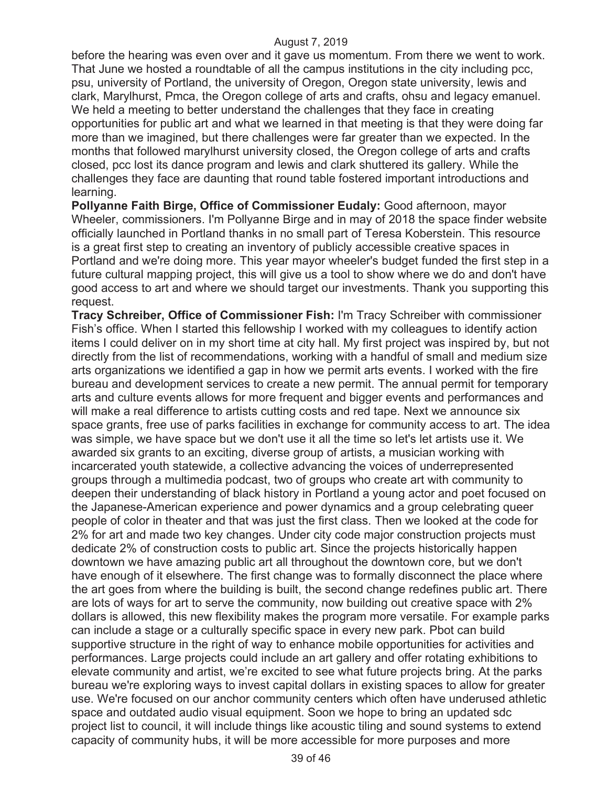before the hearing was even over and it gave us momentum. From there we went to work. That June we hosted a roundtable of all the campus institutions in the city including pcc, psu, university of Portland, the university of Oregon, Oregon state university, lewis and clark, Marylhurst, Pmca, the Oregon college of arts and crafts, ohsu and legacy emanuel. We held a meeting to better understand the challenges that they face in creating opportunities for public art and what we learned in that meeting is that they were doing far more than we imagined, but there challenges were far greater than we expected. In the months that followed marylhurst university closed, the Oregon college of arts and crafts closed, pcc lost its dance program and lewis and clark shuttered its gallery. While the challenges they face are daunting that round table fostered important introductions and learning.

**Pollyanne Faith Birge, Office of Commissioner Eudaly:** Good afternoon, mayor Wheeler, commissioners. I'm Pollyanne Birge and in may of 2018 the space finder website officially launched in Portland thanks in no small part of Teresa Koberstein. This resource is a great first step to creating an inventory of publicly accessible creative spaces in Portland and we're doing more. This year mayor wheeler's budget funded the first step in a future cultural mapping project, this will give us a tool to show where we do and don't have good access to art and where we should target our investments. Thank you supporting this request.

**Tracy Schreiber, Office of Commissioner Fish:** I'm Tracy Schreiber with commissioner Fish's office. When I started this fellowship I worked with my colleagues to identify action items I could deliver on in my short time at city hall. My first project was inspired by, but not directly from the list of recommendations, working with a handful of small and medium size arts organizations we identified a gap in how we permit arts events. I worked with the fire bureau and development services to create a new permit. The annual permit for temporary arts and culture events allows for more frequent and bigger events and performances and will make a real difference to artists cutting costs and red tape. Next we announce six space grants, free use of parks facilities in exchange for community access to art. The idea was simple, we have space but we don't use it all the time so let's let artists use it. We awarded six grants to an exciting, diverse group of artists, a musician working with incarcerated youth statewide, a collective advancing the voices of underrepresented groups through a multimedia podcast, two of groups who create art with community to deepen their understanding of black history in Portland a young actor and poet focused on the Japanese-American experience and power dynamics and a group celebrating queer people of color in theater and that was just the first class. Then we looked at the code for 2% for art and made two key changes. Under city code major construction projects must dedicate 2% of construction costs to public art. Since the projects historically happen downtown we have amazing public art all throughout the downtown core, but we don't have enough of it elsewhere. The first change was to formally disconnect the place where the art goes from where the building is built, the second change redefines public art. There are lots of ways for art to serve the community, now building out creative space with 2% dollars is allowed, this new flexibility makes the program more versatile. For example parks can include a stage or a culturally specific space in every new park. Pbot can build supportive structure in the right of way to enhance mobile opportunities for activities and performances. Large projects could include an art gallery and offer rotating exhibitions to elevate community and artist, we're excited to see what future projects bring. At the parks bureau we're exploring ways to invest capital dollars in existing spaces to allow for greater use. We're focused on our anchor community centers which often have underused athletic space and outdated audio visual equipment. Soon we hope to bring an updated sdc project list to council, it will include things like acoustic tiling and sound systems to extend capacity of community hubs, it will be more accessible for more purposes and more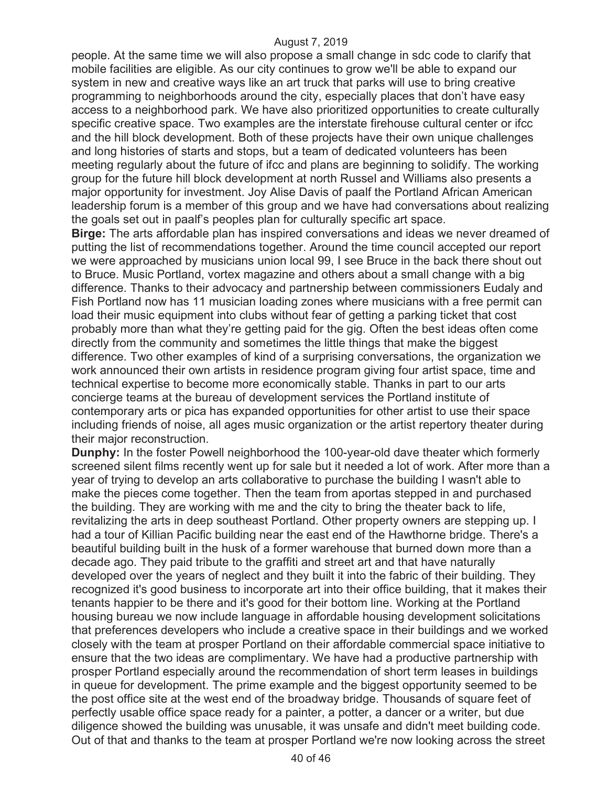people. At the same time we will also propose a small change in sdc code to clarify that mobile facilities are eligible. As our city continues to grow we'll be able to expand our system in new and creative ways like an art truck that parks will use to bring creative programming to neighborhoods around the city, especially places that don't have easy access to a neighborhood park. We have also prioritized opportunities to create culturally specific creative space. Two examples are the interstate firehouse cultural center or ifcc and the hill block development. Both of these projects have their own unique challenges and long histories of starts and stops, but a team of dedicated volunteers has been meeting regularly about the future of ifcc and plans are beginning to solidify. The working group for the future hill block development at north Russel and Williams also presents a major opportunity for investment. Joy Alise Davis of paalf the Portland African American leadership forum is a member of this group and we have had conversations about realizing the goals set out in paalf's peoples plan for culturally specific art space.

**Birge:** The arts affordable plan has inspired conversations and ideas we never dreamed of putting the list of recommendations together. Around the time council accepted our report we were approached by musicians union local 99, I see Bruce in the back there shout out to Bruce. Music Portland, vortex magazine and others about a small change with a big difference. Thanks to their advocacy and partnership between commissioners Eudaly and Fish Portland now has 11 musician loading zones where musicians with a free permit can load their music equipment into clubs without fear of getting a parking ticket that cost probably more than what they're getting paid for the gig. Often the best ideas often come directly from the community and sometimes the little things that make the biggest difference. Two other examples of kind of a surprising conversations, the organization we work announced their own artists in residence program giving four artist space, time and technical expertise to become more economically stable. Thanks in part to our arts concierge teams at the bureau of development services the Portland institute of contemporary arts or pica has expanded opportunities for other artist to use their space including friends of noise, all ages music organization or the artist repertory theater during their major reconstruction.

**Dunphy:** In the foster Powell neighborhood the 100-year-old dave theater which formerly screened silent films recently went up for sale but it needed a lot of work. After more than a year of trying to develop an arts collaborative to purchase the building I wasn't able to make the pieces come together. Then the team from aportas stepped in and purchased the building. They are working with me and the city to bring the theater back to life, revitalizing the arts in deep southeast Portland. Other property owners are stepping up. I had a tour of Killian Pacific building near the east end of the Hawthorne bridge. There's a beautiful building built in the husk of a former warehouse that burned down more than a decade ago. They paid tribute to the graffiti and street art and that have naturally developed over the years of neglect and they built it into the fabric of their building. They recognized it's good business to incorporate art into their office building, that it makes their tenants happier to be there and it's good for their bottom line. Working at the Portland housing bureau we now include language in affordable housing development solicitations that preferences developers who include a creative space in their buildings and we worked closely with the team at prosper Portland on their affordable commercial space initiative to ensure that the two ideas are complimentary. We have had a productive partnership with prosper Portland especially around the recommendation of short term leases in buildings in queue for development. The prime example and the biggest opportunity seemed to be the post office site at the west end of the broadway bridge. Thousands of square feet of perfectly usable office space ready for a painter, a potter, a dancer or a writer, but due diligence showed the building was unusable, it was unsafe and didn't meet building code. Out of that and thanks to the team at prosper Portland we're now looking across the street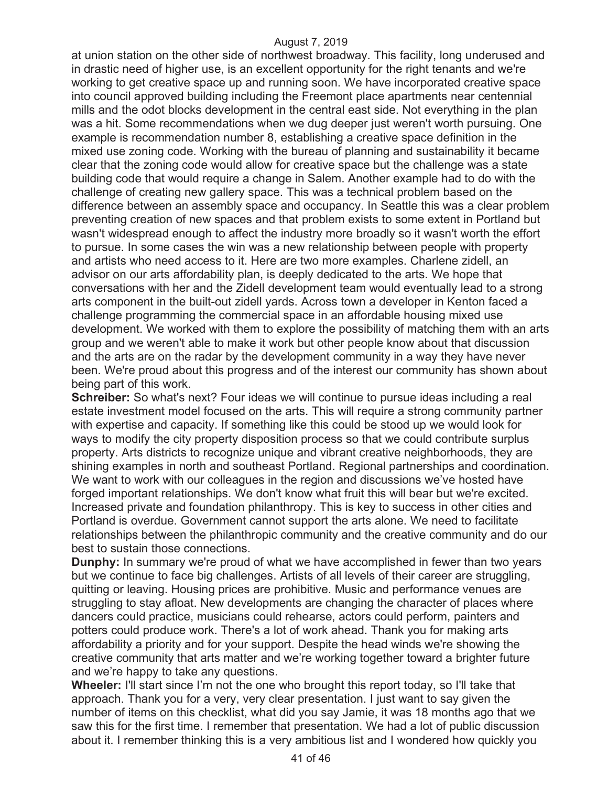at union station on the other side of northwest broadway. This facility, long underused and in drastic need of higher use, is an excellent opportunity for the right tenants and we're working to get creative space up and running soon. We have incorporated creative space into council approved building including the Freemont place apartments near centennial mills and the odot blocks development in the central east side. Not everything in the plan was a hit. Some recommendations when we dug deeper just weren't worth pursuing. One example is recommendation number 8, establishing a creative space definition in the mixed use zoning code. Working with the bureau of planning and sustainability it became clear that the zoning code would allow for creative space but the challenge was a state building code that would require a change in Salem. Another example had to do with the challenge of creating new gallery space. This was a technical problem based on the difference between an assembly space and occupancy. In Seattle this was a clear problem preventing creation of new spaces and that problem exists to some extent in Portland but wasn't widespread enough to affect the industry more broadly so it wasn't worth the effort to pursue. In some cases the win was a new relationship between people with property and artists who need access to it. Here are two more examples. Charlene zidell, an advisor on our arts affordability plan, is deeply dedicated to the arts. We hope that conversations with her and the Zidell development team would eventually lead to a strong arts component in the built-out zidell yards. Across town a developer in Kenton faced a challenge programming the commercial space in an affordable housing mixed use development. We worked with them to explore the possibility of matching them with an arts group and we weren't able to make it work but other people know about that discussion and the arts are on the radar by the development community in a way they have never been. We're proud about this progress and of the interest our community has shown about being part of this work.

**Schreiber:** So what's next? Four ideas we will continue to pursue ideas including a real estate investment model focused on the arts. This will require a strong community partner with expertise and capacity. If something like this could be stood up we would look for ways to modify the city property disposition process so that we could contribute surplus property. Arts districts to recognize unique and vibrant creative neighborhoods, they are shining examples in north and southeast Portland. Regional partnerships and coordination. We want to work with our colleagues in the region and discussions we've hosted have forged important relationships. We don't know what fruit this will bear but we're excited. Increased private and foundation philanthropy. This is key to success in other cities and Portland is overdue. Government cannot support the arts alone. We need to facilitate relationships between the philanthropic community and the creative community and do our best to sustain those connections.

**Dunphy:** In summary we're proud of what we have accomplished in fewer than two years but we continue to face big challenges. Artists of all levels of their career are struggling, quitting or leaving. Housing prices are prohibitive. Music and performance venues are struggling to stay afloat. New developments are changing the character of places where dancers could practice, musicians could rehearse, actors could perform, painters and potters could produce work. There's a lot of work ahead. Thank you for making arts affordability a priority and for your support. Despite the head winds we're showing the creative community that arts matter and we're working together toward a brighter future and we're happy to take any questions.

**Wheeler:** I'll start since I'm not the one who brought this report today, so I'll take that approach. Thank you for a very, very clear presentation. I just want to say given the number of items on this checklist, what did you say Jamie, it was 18 months ago that we saw this for the first time. I remember that presentation. We had a lot of public discussion about it. I remember thinking this is a very ambitious list and I wondered how quickly you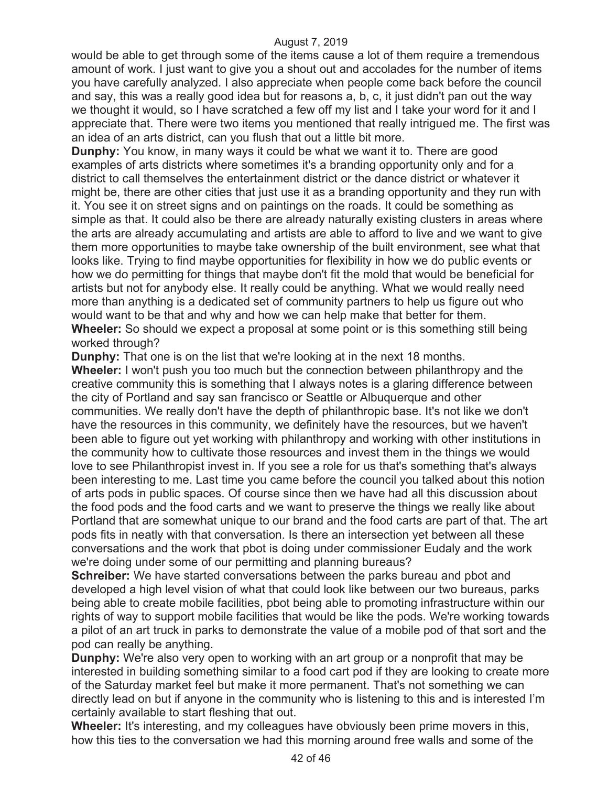would be able to get through some of the items cause a lot of them require a tremendous amount of work. I just want to give you a shout out and accolades for the number of items you have carefully analyzed. I also appreciate when people come back before the council and say, this was a really good idea but for reasons a, b, c, it just didn't pan out the way we thought it would, so I have scratched a few off my list and I take your word for it and I appreciate that. There were two items you mentioned that really intrigued me. The first was an idea of an arts district, can you flush that out a little bit more.

**Dunphy:** You know, in many ways it could be what we want it to. There are good examples of arts districts where sometimes it's a branding opportunity only and for a district to call themselves the entertainment district or the dance district or whatever it might be, there are other cities that just use it as a branding opportunity and they run with it. You see it on street signs and on paintings on the roads. It could be something as simple as that. It could also be there are already naturally existing clusters in areas where the arts are already accumulating and artists are able to afford to live and we want to give them more opportunities to maybe take ownership of the built environment, see what that looks like. Trying to find maybe opportunities for flexibility in how we do public events or how we do permitting for things that maybe don't fit the mold that would be beneficial for artists but not for anybody else. It really could be anything. What we would really need more than anything is a dedicated set of community partners to help us figure out who would want to be that and why and how we can help make that better for them. **Wheeler:** So should we expect a proposal at some point or is this something still being worked through?

**Dunphy:** That one is on the list that we're looking at in the next 18 months.

**Wheeler:** I won't push you too much but the connection between philanthropy and the creative community this is something that I always notes is a glaring difference between the city of Portland and say san francisco or Seattle or Albuquerque and other communities. We really don't have the depth of philanthropic base. It's not like we don't have the resources in this community, we definitely have the resources, but we haven't been able to figure out yet working with philanthropy and working with other institutions in the community how to cultivate those resources and invest them in the things we would love to see Philanthropist invest in. If you see a role for us that's something that's always been interesting to me. Last time you came before the council you talked about this notion of arts pods in public spaces. Of course since then we have had all this discussion about the food pods and the food carts and we want to preserve the things we really like about Portland that are somewhat unique to our brand and the food carts are part of that. The art pods fits in neatly with that conversation. Is there an intersection yet between all these conversations and the work that pbot is doing under commissioner Eudaly and the work we're doing under some of our permitting and planning bureaus?

**Schreiber:** We have started conversations between the parks bureau and pbot and developed a high level vision of what that could look like between our two bureaus, parks being able to create mobile facilities, pbot being able to promoting infrastructure within our rights of way to support mobile facilities that would be like the pods. We're working towards a pilot of an art truck in parks to demonstrate the value of a mobile pod of that sort and the pod can really be anything.

**Dunphy:** We're also very open to working with an art group or a nonprofit that may be interested in building something similar to a food cart pod if they are looking to create more of the Saturday market feel but make it more permanent. That's not something we can directly lead on but if anyone in the community who is listening to this and is interested I'm certainly available to start fleshing that out.

**Wheeler:** It's interesting, and my colleagues have obviously been prime movers in this, how this ties to the conversation we had this morning around free walls and some of the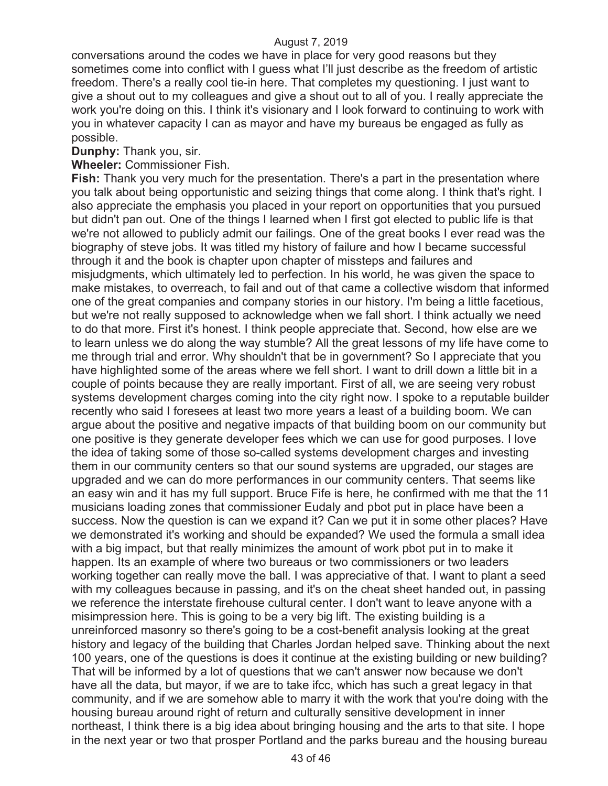conversations around the codes we have in place for very good reasons but they sometimes come into conflict with I guess what I'll just describe as the freedom of artistic freedom. There's a really cool tie-in here. That completes my questioning. I just want to give a shout out to my colleagues and give a shout out to all of you. I really appreciate the work you're doing on this. I think it's visionary and I look forward to continuing to work with you in whatever capacity I can as mayor and have my bureaus be engaged as fully as possible.

**Dunphy:** Thank you, sir.

**Wheeler:** Commissioner Fish.

**Fish:** Thank you very much for the presentation. There's a part in the presentation where you talk about being opportunistic and seizing things that come along. I think that's right. I also appreciate the emphasis you placed in your report on opportunities that you pursued but didn't pan out. One of the things I learned when I first got elected to public life is that we're not allowed to publicly admit our failings. One of the great books I ever read was the biography of steve jobs. It was titled my history of failure and how I became successful through it and the book is chapter upon chapter of missteps and failures and misjudgments, which ultimately led to perfection. In his world, he was given the space to make mistakes, to overreach, to fail and out of that came a collective wisdom that informed one of the great companies and company stories in our history. I'm being a little facetious, but we're not really supposed to acknowledge when we fall short. I think actually we need to do that more. First it's honest. I think people appreciate that. Second, how else are we to learn unless we do along the way stumble? All the great lessons of my life have come to me through trial and error. Why shouldn't that be in government? So I appreciate that you have highlighted some of the areas where we fell short. I want to drill down a little bit in a couple of points because they are really important. First of all, we are seeing very robust systems development charges coming into the city right now. I spoke to a reputable builder recently who said I foresees at least two more years a least of a building boom. We can argue about the positive and negative impacts of that building boom on our community but one positive is they generate developer fees which we can use for good purposes. I love the idea of taking some of those so-called systems development charges and investing them in our community centers so that our sound systems are upgraded, our stages are upgraded and we can do more performances in our community centers. That seems like an easy win and it has my full support. Bruce Fife is here, he confirmed with me that the 11 musicians loading zones that commissioner Eudaly and pbot put in place have been a success. Now the question is can we expand it? Can we put it in some other places? Have we demonstrated it's working and should be expanded? We used the formula a small idea with a big impact, but that really minimizes the amount of work pbot put in to make it happen. Its an example of where two bureaus or two commissioners or two leaders working together can really move the ball. I was appreciative of that. I want to plant a seed with my colleagues because in passing, and it's on the cheat sheet handed out, in passing we reference the interstate firehouse cultural center. I don't want to leave anyone with a misimpression here. This is going to be a very big lift. The existing building is a unreinforced masonry so there's going to be a cost-benefit analysis looking at the great history and legacy of the building that Charles Jordan helped save. Thinking about the next 100 years, one of the questions is does it continue at the existing building or new building? That will be informed by a lot of questions that we can't answer now because we don't have all the data, but mayor, if we are to take ifcc, which has such a great legacy in that community, and if we are somehow able to marry it with the work that you're doing with the housing bureau around right of return and culturally sensitive development in inner northeast, I think there is a big idea about bringing housing and the arts to that site. I hope in the next year or two that prosper Portland and the parks bureau and the housing bureau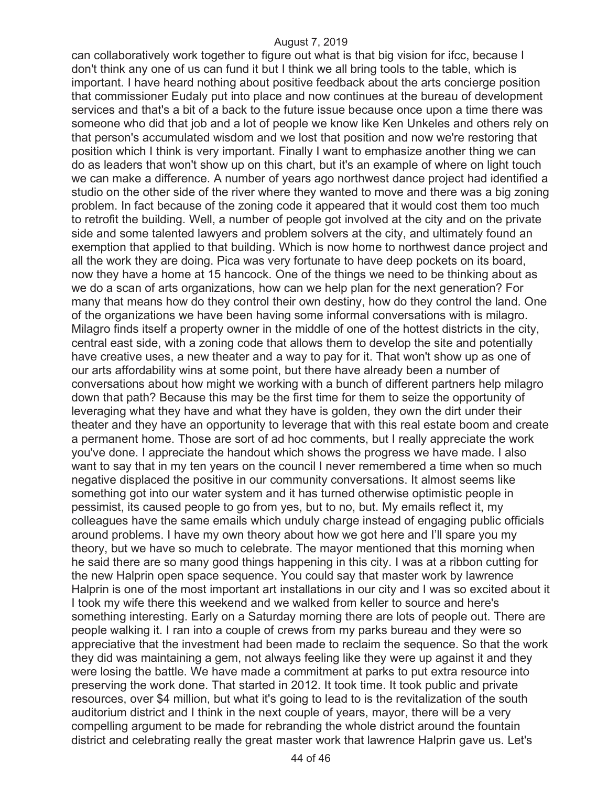can collaboratively work together to figure out what is that big vision for ifcc, because I don't think any one of us can fund it but I think we all bring tools to the table, which is important. I have heard nothing about positive feedback about the arts concierge position that commissioner Eudaly put into place and now continues at the bureau of development services and that's a bit of a back to the future issue because once upon a time there was someone who did that job and a lot of people we know like Ken Unkeles and others rely on that person's accumulated wisdom and we lost that position and now we're restoring that position which I think is very important. Finally I want to emphasize another thing we can do as leaders that won't show up on this chart, but it's an example of where on light touch we can make a difference. A number of years ago northwest dance project had identified a studio on the other side of the river where they wanted to move and there was a big zoning problem. In fact because of the zoning code it appeared that it would cost them too much to retrofit the building. Well, a number of people got involved at the city and on the private side and some talented lawyers and problem solvers at the city, and ultimately found an exemption that applied to that building. Which is now home to northwest dance project and all the work they are doing. Pica was very fortunate to have deep pockets on its board, now they have a home at 15 hancock. One of the things we need to be thinking about as we do a scan of arts organizations, how can we help plan for the next generation? For many that means how do they control their own destiny, how do they control the land. One of the organizations we have been having some informal conversations with is milagro. Milagro finds itself a property owner in the middle of one of the hottest districts in the city, central east side, with a zoning code that allows them to develop the site and potentially have creative uses, a new theater and a way to pay for it. That won't show up as one of our arts affordability wins at some point, but there have already been a number of conversations about how might we working with a bunch of different partners help milagro down that path? Because this may be the first time for them to seize the opportunity of leveraging what they have and what they have is golden, they own the dirt under their theater and they have an opportunity to leverage that with this real estate boom and create a permanent home. Those are sort of ad hoc comments, but I really appreciate the work you've done. I appreciate the handout which shows the progress we have made. I also want to say that in my ten years on the council I never remembered a time when so much negative displaced the positive in our community conversations. It almost seems like something got into our water system and it has turned otherwise optimistic people in pessimist, its caused people to go from yes, but to no, but. My emails reflect it, my colleagues have the same emails which unduly charge instead of engaging public officials around problems. I have my own theory about how we got here and I'll spare you my theory, but we have so much to celebrate. The mayor mentioned that this morning when he said there are so many good things happening in this city. I was at a ribbon cutting for the new Halprin open space sequence. You could say that master work by lawrence Halprin is one of the most important art installations in our city and I was so excited about it I took my wife there this weekend and we walked from keller to source and here's something interesting. Early on a Saturday morning there are lots of people out. There are people walking it. I ran into a couple of crews from my parks bureau and they were so appreciative that the investment had been made to reclaim the sequence. So that the work they did was maintaining a gem, not always feeling like they were up against it and they were losing the battle. We have made a commitment at parks to put extra resource into preserving the work done. That started in 2012. It took time. It took public and private resources, over \$4 million, but what it's going to lead to is the revitalization of the south auditorium district and I think in the next couple of years, mayor, there will be a very compelling argument to be made for rebranding the whole district around the fountain district and celebrating really the great master work that lawrence Halprin gave us. Let's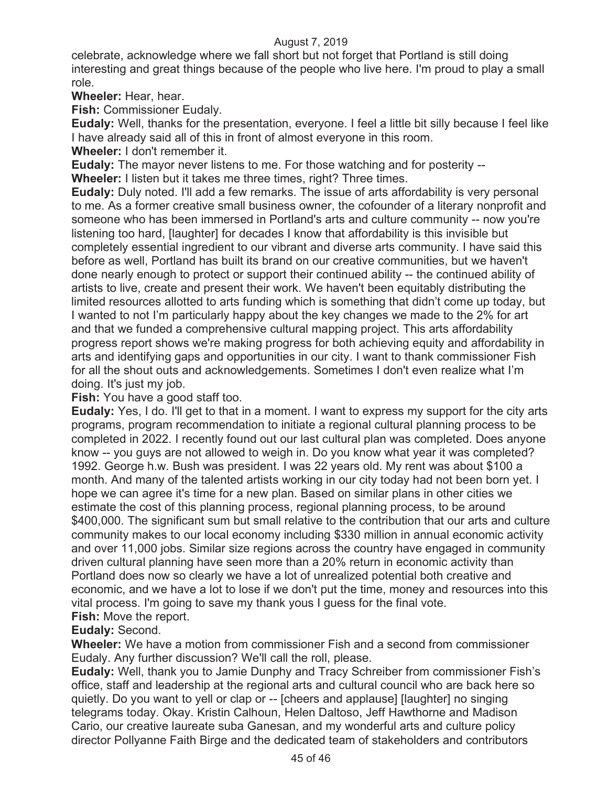celebrate, acknowledge where we fall short but not forget that Portland is still doing interesting and great things because of the people who live here. I'm proud to play a small role.

**Wheeler:** Hear, hear.

**Fish:** Commissioner Eudaly.

**Eudaly:** Well, thanks for the presentation, everyone. I feel a little bit silly because I feel like I have already said all of this in front of almost everyone in this room.

**Wheeler:** I don't remember it.

**Eudaly:** The mayor never listens to me. For those watching and for posterity --

**Wheeler:** I listen but it takes me three times, right? Three times.

**Eudaly:** Duly noted. I'll add a few remarks. The issue of arts affordability is very personal to me. As a former creative small business owner, the cofounder of a literary nonprofit and someone who has been immersed in Portland's arts and culture community -- now you're listening too hard, [laughter] for decades I know that affordability is this invisible but completely essential ingredient to our vibrant and diverse arts community. I have said this before as well, Portland has built its brand on our creative communities, but we haven't done nearly enough to protect or support their continued ability -- the continued ability of artists to live, create and present their work. We haven't been equitably distributing the limited resources allotted to arts funding which is something that didn't come up today, but I wanted to not I'm particularly happy about the key changes we made to the 2% for art and that we funded a comprehensive cultural mapping project. This arts affordability progress report shows we're making progress for both achieving equity and affordability in arts and identifying gaps and opportunities in our city. I want to thank commissioner Fish for all the shout outs and acknowledgements. Sometimes I don't even realize what I'm doing. It's just my job.

**Fish:** You have a good staff too.

**Eudaly:** Yes, I do. I'll get to that in a moment. I want to express my support for the city arts programs, program recommendation to initiate a regional cultural planning process to be completed in 2022. I recently found out our last cultural plan was completed. Does anyone know -- you guys are not allowed to weigh in. Do you know what year it was completed? 1992. George h.w. Bush was president. I was 22 years old. My rent was about \$100 a month. And many of the talented artists working in our city today had not been born yet. I hope we can agree it's time for a new plan. Based on similar plans in other cities we estimate the cost of this planning process, regional planning process, to be around \$400,000. The significant sum but small relative to the contribution that our arts and culture community makes to our local economy including \$330 million in annual economic activity and over 11,000 jobs. Similar size regions across the country have engaged in community driven cultural planning have seen more than a 20% return in economic activity than Portland does now so clearly we have a lot of unrealized potential both creative and economic, and we have a lot to lose if we don't put the time, money and resources into this vital process. I'm going to save my thank yous I guess for the final vote. **Fish:** Move the report.

## **Eudaly:** Second.

**Wheeler:** We have a motion from commissioner Fish and a second from commissioner Eudaly. Any further discussion? We'll call the roll, please.

**Eudaly:** Well, thank you to Jamie Dunphy and Tracy Schreiber from commissioner Fish's office, staff and leadership at the regional arts and cultural council who are back here so quietly. Do you want to yell or clap or -- [cheers and applause] [laughter] no singing telegrams today. Okay. Kristin Calhoun, Helen Daltoso, Jeff Hawthorne and Madison Cario, our creative laureate suba Ganesan, and my wonderful arts and culture policy director Pollyanne Faith Birge and the dedicated team of stakeholders and contributors